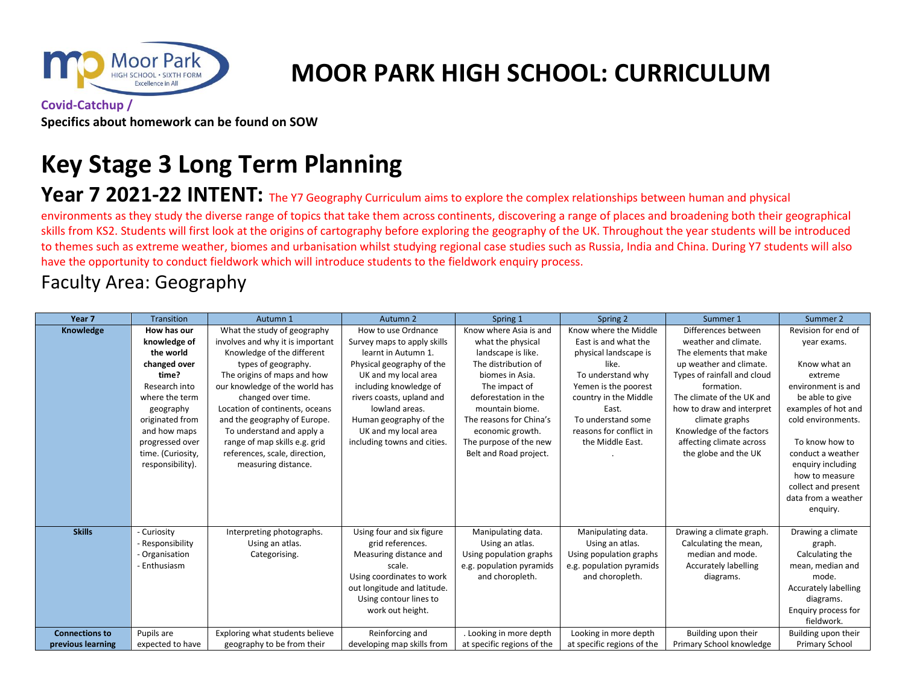

**Covid-Catchup / Specifics about homework can be found on SOW**

# **Key Stage 3 Long Term Planning**

Year 7 2021-22 INTENT: The Y7 Geography Curriculum aims to explore the complex relationships between human and physical

environments as they study the diverse range of topics that take them across continents, discovering a range of places and broadening both their geographical skills from KS2. Students will first look at the origins of cartography before exploring the geography of the UK. Throughout the year students will be introduced to themes such as extreme weather, biomes and urbanisation whilst studying regional case studies such as Russia, India and China. During Y7 students will also have the opportunity to conduct fieldwork which will introduce students to the fieldwork enquiry process.

#### Faculty Area: Geography

| Year <sub>7</sub>     | <b>Transition</b> | Autumn 1                         | Autumn 2                    | Spring 1                   | Spring 2                   | Summer 1                    | Summer 2                    |
|-----------------------|-------------------|----------------------------------|-----------------------------|----------------------------|----------------------------|-----------------------------|-----------------------------|
| Knowledge             | How has our       | What the study of geography      | How to use Ordnance         | Know where Asia is and     | Know where the Middle      | Differences between         | Revision for end of         |
|                       | knowledge of      | involves and why it is important | Survey maps to apply skills | what the physical          | East is and what the       | weather and climate.        | year exams.                 |
|                       | the world         | Knowledge of the different       | learnt in Autumn 1.         | landscape is like.         | physical landscape is      | The elements that make      |                             |
|                       | changed over      | types of geography.              | Physical geography of the   | The distribution of        | like.                      | up weather and climate.     | Know what an                |
|                       | time?             | The origins of maps and how      | UK and my local area        | biomes in Asia.            | To understand why          | Types of rainfall and cloud | extreme                     |
|                       | Research into     | our knowledge of the world has   | including knowledge of      | The impact of              | Yemen is the poorest       | formation.                  | environment is and          |
|                       | where the term    | changed over time.               | rivers coasts, upland and   | deforestation in the       | country in the Middle      | The climate of the UK and   | be able to give             |
|                       | geography         | Location of continents, oceans   | lowland areas.              | mountain biome.            | East.                      | how to draw and interpret   | examples of hot and         |
|                       | originated from   | and the geography of Europe.     | Human geography of the      | The reasons for China's    | To understand some         | climate graphs              | cold environments.          |
|                       | and how maps      | To understand and apply a        | UK and my local area        | economic growth.           | reasons for conflict in    | Knowledge of the factors    |                             |
|                       | progressed over   | range of map skills e.g. grid    | including towns and cities. | The purpose of the new     | the Middle East.           | affecting climate across    | To know how to              |
|                       | time. (Curiosity, | references, scale, direction,    |                             | Belt and Road project.     |                            | the globe and the UK        | conduct a weather           |
|                       | responsibility).  | measuring distance.              |                             |                            |                            |                             | enguiry including           |
|                       |                   |                                  |                             |                            |                            |                             | how to measure              |
|                       |                   |                                  |                             |                            |                            |                             | collect and present         |
|                       |                   |                                  |                             |                            |                            |                             | data from a weather         |
|                       |                   |                                  |                             |                            |                            |                             | enquiry.                    |
| <b>Skills</b>         | - Curiosity       | Interpreting photographs.        | Using four and six figure   | Manipulating data.         | Manipulating data.         | Drawing a climate graph.    | Drawing a climate           |
|                       | - Responsibility  | Using an atlas.                  | grid references.            | Using an atlas.            | Using an atlas.            | Calculating the mean,       | graph.                      |
|                       | - Organisation    | Categorising.                    | Measuring distance and      | Using population graphs    | Using population graphs    | median and mode.            | Calculating the             |
|                       | - Enthusiasm      |                                  | scale.                      | e.g. population pyramids   | e.g. population pyramids   | <b>Accurately labelling</b> | mean, median and            |
|                       |                   |                                  | Using coordinates to work   | and choropleth.            | and choropleth.            | diagrams.                   | mode.                       |
|                       |                   |                                  | out longitude and latitude. |                            |                            |                             | <b>Accurately labelling</b> |
|                       |                   |                                  | Using contour lines to      |                            |                            |                             | diagrams.                   |
|                       |                   |                                  | work out height.            |                            |                            |                             | Enguiry process for         |
|                       |                   |                                  |                             |                            |                            |                             | fieldwork.                  |
| <b>Connections to</b> | Pupils are        | Exploring what students believe  | Reinforcing and             | Looking in more depth      | Looking in more depth      | Building upon their         | Building upon their         |
| previous learning     | expected to have  | geography to be from their       | developing map skills from  | at specific regions of the | at specific regions of the | Primary School knowledge    | Primary School              |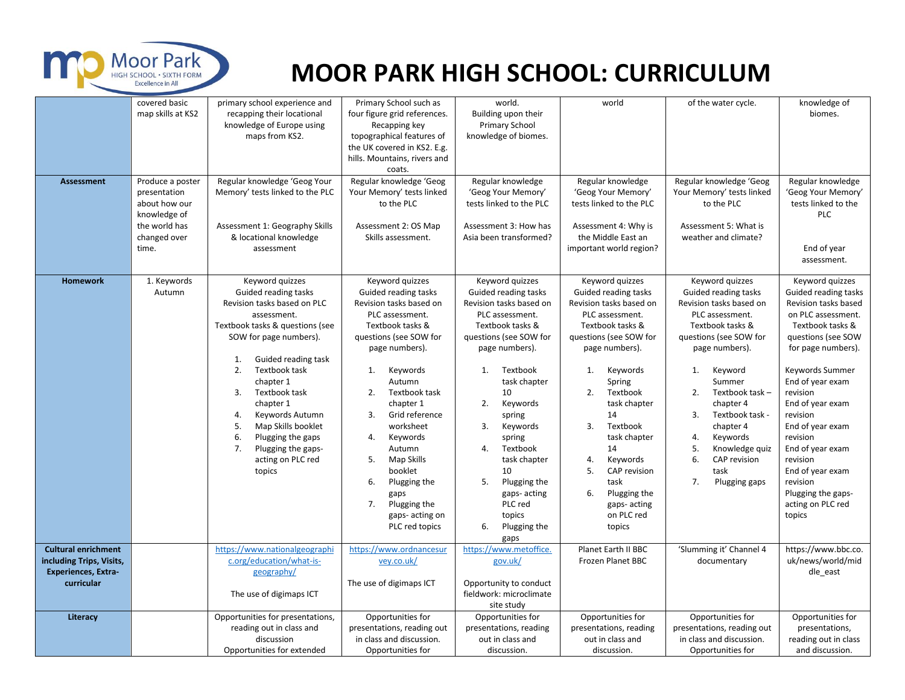

|                            | covered basic     | primary school experience and    | Primary School such as       | world.                   | world                          | of the water cycle.                  | knowledge of                 |
|----------------------------|-------------------|----------------------------------|------------------------------|--------------------------|--------------------------------|--------------------------------------|------------------------------|
|                            | map skills at KS2 | recapping their locational       | four figure grid references. | Building upon their      |                                |                                      | biomes.                      |
|                            |                   | knowledge of Europe using        | Recapping key                | Primary School           |                                |                                      |                              |
|                            |                   | maps from KS2.                   | topographical features of    | knowledge of biomes.     |                                |                                      |                              |
|                            |                   |                                  | the UK covered in KS2. E.g.  |                          |                                |                                      |                              |
|                            |                   |                                  | hills. Mountains, rivers and |                          |                                |                                      |                              |
|                            |                   |                                  | coats.                       |                          |                                |                                      |                              |
| <b>Assessment</b>          | Produce a poster  | Regular knowledge 'Geog Your     | Regular knowledge 'Geog      | Regular knowledge        | Regular knowledge              | Regular knowledge 'Geog              | Regular knowledge            |
|                            | presentation      | Memory' tests linked to the PLC  | Your Memory' tests linked    | 'Geog Your Memory'       | 'Geog Your Memory'             | Your Memory' tests linked            | 'Geog Your Memory'           |
|                            | about how our     |                                  | to the PLC                   | tests linked to the PLC  | tests linked to the PLC        | to the PLC                           | tests linked to the          |
|                            | knowledge of      |                                  |                              |                          |                                |                                      | PLC                          |
|                            | the world has     | Assessment 1: Geography Skills   | Assessment 2: OS Map         | Assessment 3: How has    | Assessment 4: Why is           | Assessment 5: What is                |                              |
|                            | changed over      | & locational knowledge           | Skills assessment.           | Asia been transformed?   | the Middle East an             | weather and climate?                 |                              |
|                            | time.             | assessment                       |                              |                          | important world region?        |                                      | End of year                  |
|                            |                   |                                  |                              |                          |                                |                                      | assessment.                  |
|                            |                   |                                  |                              |                          |                                |                                      |                              |
| <b>Homework</b>            | 1. Keywords       | Keyword quizzes                  | Keyword quizzes              | Keyword guizzes          | Keyword guizzes                | Keyword guizzes                      | Keyword guizzes              |
|                            | Autumn            | Guided reading tasks             | Guided reading tasks         | Guided reading tasks     | Guided reading tasks           | Guided reading tasks                 | Guided reading tasks         |
|                            |                   | Revision tasks based on PLC      | Revision tasks based on      | Revision tasks based on  | Revision tasks based on        | Revision tasks based on              | Revision tasks based         |
|                            |                   | assessment.                      | PLC assessment.              | PLC assessment.          | PLC assessment.                | PLC assessment.                      | on PLC assessment.           |
|                            |                   | Textbook tasks & questions (see  | Textbook tasks &             | Textbook tasks &         | Textbook tasks &               | Textbook tasks &                     | Textbook tasks &             |
|                            |                   | SOW for page numbers).           | questions (see SOW for       | questions (see SOW for   | questions (see SOW for         | questions (see SOW for               | questions (see SOW           |
|                            |                   |                                  | page numbers).               | page numbers).           | page numbers).                 | page numbers).                       | for page numbers).           |
|                            |                   | Guided reading task<br>1.        |                              |                          |                                |                                      |                              |
|                            |                   | 2.<br>Textbook task              | Keywords<br>1.               | Textbook<br>1.           | 1.<br>Keywords                 | 1.<br>Keyword                        | <b>Keywords Summer</b>       |
|                            |                   | chapter 1                        | Autumn                       | task chapter             | Spring                         | Summer                               | End of year exam             |
|                            |                   | Textbook task<br>3.              | 2.<br>Textbook task          | 10                       | 2.<br>Textbook                 | Textbook task -<br>2.                | revision                     |
|                            |                   | chapter 1                        | chapter 1                    | 2.<br>Keywords           | task chapter                   | chapter 4                            | End of year exam             |
|                            |                   | Keywords Autumn<br>4.            | Grid reference<br>3.         | spring                   | 14                             | Textbook task -<br>3.                | revision                     |
|                            |                   | 5.<br>Map Skills booklet         | worksheet                    | 3.<br>Keywords           | 3.<br>Textbook                 | chapter 4                            | End of year exam             |
|                            |                   | 6.<br>Plugging the gaps<br>7.    | Keywords<br>4.               | spring<br>Textbook<br>4. | task chapter                   | 4.<br>Keywords<br>5.                 | revision                     |
|                            |                   | Plugging the gaps-               | Autumn<br>Map Skills         |                          | 14<br>4.                       | Knowledge quiz<br>6.<br>CAP revision | End of year exam<br>revision |
|                            |                   | acting on PLC red<br>topics      | 5.<br>booklet                | task chapter<br>10       | Keywords<br>5.<br>CAP revision | task                                 | End of year exam             |
|                            |                   |                                  | 6.<br>Plugging the           | 5.<br>Plugging the       | task                           | 7.<br>Plugging gaps                  | revision                     |
|                            |                   |                                  | gaps                         | gaps-acting              | 6.<br>Plugging the             |                                      | Plugging the gaps-           |
|                            |                   |                                  | 7.<br>Plugging the           | PLC red                  | gaps-acting                    |                                      | acting on PLC red            |
|                            |                   |                                  | gaps-acting on               | topics                   | on PLC red                     |                                      | topics                       |
|                            |                   |                                  | PLC red topics               | 6.<br>Plugging the       | topics                         |                                      |                              |
|                            |                   |                                  |                              | gaps                     |                                |                                      |                              |
| <b>Cultural enrichment</b> |                   | https://www.nationalgeographi    | https://www.ordnancesur      | https://www.metoffice.   | Planet Earth II BBC            | 'Slumming it' Channel 4              | https://www.bbc.co.          |
| including Trips, Visits,   |                   | c.org/education/what-is-         | vey.co.uk/                   | gov.uk/                  | Frozen Planet BBC              | documentary                          | uk/news/world/mid            |
| <b>Experiences, Extra-</b> |                   | geography/                       |                              |                          |                                |                                      | dle_east                     |
| curricular                 |                   |                                  | The use of digimaps ICT      | Opportunity to conduct   |                                |                                      |                              |
|                            |                   | The use of digimaps ICT          |                              | fieldwork: microclimate  |                                |                                      |                              |
|                            |                   |                                  |                              | site study               |                                |                                      |                              |
| Literacy                   |                   | Opportunities for presentations, | Opportunities for            | Opportunities for        | Opportunities for              | Opportunities for                    | Opportunities for            |
|                            |                   | reading out in class and         | presentations, reading out   | presentations, reading   | presentations, reading         | presentations, reading out           | presentations,               |
|                            |                   | discussion                       | in class and discussion.     | out in class and         | out in class and               | in class and discussion.             | reading out in class         |
|                            |                   | Opportunities for extended       | Opportunities for            | discussion.              | discussion.                    | Opportunities for                    | and discussion.              |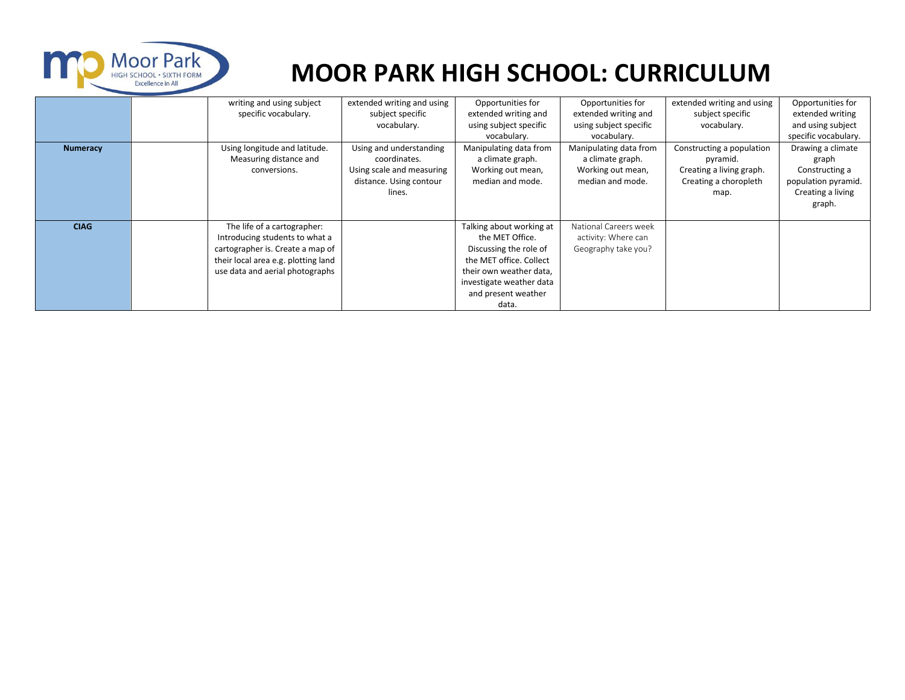

|                 | writing and using subject           | extended writing and using | Opportunities for        | Opportunities for      | extended writing and using | Opportunities for    |
|-----------------|-------------------------------------|----------------------------|--------------------------|------------------------|----------------------------|----------------------|
|                 |                                     |                            |                          |                        |                            |                      |
|                 | specific vocabulary.                | subject specific           | extended writing and     | extended writing and   | subject specific           | extended writing     |
|                 |                                     | vocabulary.                | using subject specific   | using subject specific | vocabulary.                | and using subject    |
|                 |                                     |                            | vocabulary.              | vocabulary.            |                            | specific vocabulary. |
| <b>Numeracy</b> | Using longitude and latitude.       | Using and understanding    | Manipulating data from   | Manipulating data from | Constructing a population  | Drawing a climate    |
|                 | Measuring distance and              | coordinates.               | a climate graph.         | a climate graph.       | pyramid.                   | graph                |
|                 | conversions.                        | Using scale and measuring  | Working out mean,        | Working out mean,      | Creating a living graph.   | Constructing a       |
|                 |                                     | distance. Using contour    | median and mode.         | median and mode.       | Creating a choropleth      | population pyramid.  |
|                 |                                     | lines.                     |                          |                        |                            | Creating a living    |
|                 |                                     |                            |                          |                        | map.                       |                      |
|                 |                                     |                            |                          |                        |                            | graph.               |
|                 |                                     |                            |                          |                        |                            |                      |
| <b>CIAG</b>     | The life of a cartographer:         |                            | Talking about working at | National Careers week  |                            |                      |
|                 | Introducing students to what a      |                            | the MET Office.          | activity: Where can    |                            |                      |
|                 | cartographer is. Create a map of    |                            | Discussing the role of   | Geography take you?    |                            |                      |
|                 | their local area e.g. plotting land |                            | the MET office. Collect  |                        |                            |                      |
|                 | use data and aerial photographs     |                            | their own weather data,  |                        |                            |                      |
|                 |                                     |                            |                          |                        |                            |                      |
|                 |                                     |                            | investigate weather data |                        |                            |                      |
|                 |                                     |                            | and present weather      |                        |                            |                      |
|                 |                                     |                            | data.                    |                        |                            |                      |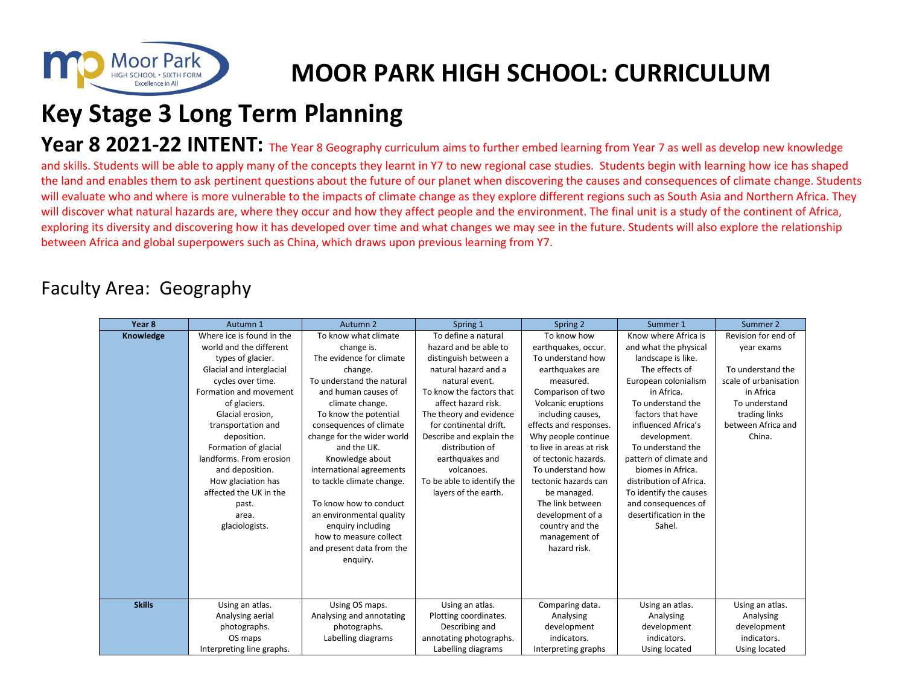

# **Key Stage 3 Long Term Planning**

Year 8 2021-22 INTENT: The Year 8 Geography curriculum aims to further embed learning from Year 7 as well as develop new knowledge and skills. Students will be able to apply many of the concepts they learnt in Y7 to new regional case studies. Students begin with learning how ice has shaped the land and enables them to ask pertinent questions about the future of our planet when discovering the causes and consequences of climate change. Students will evaluate who and where is more vulnerable to the impacts of climate change as they explore different regions such as South Asia and Northern Africa. They will discover what natural hazards are, where they occur and how they affect people and the environment. The final unit is a study of the continent of Africa, exploring its diversity and discovering how it has developed over time and what changes we may see in the future. Students will also explore the relationship between Africa and global superpowers such as China, which draws upon previous learning from Y7.

#### Faculty Area: Geography

| Year <sub>8</sub> | Autumn 1                  | Autumn <sub>2</sub>        | Spring 1                   | Spring 2                  | Summer 1                | Summer 2              |
|-------------------|---------------------------|----------------------------|----------------------------|---------------------------|-------------------------|-----------------------|
| Knowledge         | Where ice is found in the | To know what climate       | To define a natural        | To know how               | Know where Africa is    | Revision for end of   |
|                   | world and the different   | change is.                 | hazard and be able to      | earthquakes, occur.       | and what the physical   | year exams            |
|                   | types of glacier.         | The evidence for climate   | distinguish between a      | To understand how         | landscape is like.      |                       |
|                   | Glacial and interglacial  | change.                    | natural hazard and a       | earthquakes are           | The effects of          | To understand the     |
|                   | cycles over time.         | To understand the natural  | natural event.             |                           | European colonialism    | scale of urbanisation |
|                   | Formation and movement    | and human causes of        | To know the factors that   | Comparison of two         | in Africa.              | in Africa             |
|                   | of glaciers.              | climate change.            | affect hazard risk.        | <b>Volcanic eruptions</b> | To understand the       | To understand         |
|                   | Glacial erosion,          | To know the potential      | The theory and evidence    | including causes,         | factors that have       | trading links         |
|                   | transportation and        | consequences of climate    | for continental drift.     | effects and responses.    | influenced Africa's     | between Africa and    |
|                   | deposition.               | change for the wider world | Describe and explain the   | Why people continue       | development.            | China.                |
|                   | Formation of glacial      | and the UK.                | distribution of            | to live in areas at risk  | To understand the       |                       |
|                   | landforms. From erosion   | Knowledge about            | earthquakes and            | of tectonic hazards.      | pattern of climate and  |                       |
|                   | and deposition.           | international agreements   | volcanoes.                 | To understand how         | biomes in Africa.       |                       |
|                   | How glaciation has        | to tackle climate change.  | To be able to identify the | tectonic hazards can      | distribution of Africa. |                       |
|                   | affected the UK in the    |                            | layers of the earth.       | be managed.               | To identify the causes  |                       |
|                   | past.                     | To know how to conduct     |                            | The link between          | and consequences of     |                       |
|                   | area.                     | an environmental quality   |                            | development of a          | desertification in the  |                       |
|                   | glaciologists.            | enguiry including          |                            | country and the           | Sahel.                  |                       |
|                   |                           | how to measure collect     |                            | management of             |                         |                       |
|                   |                           | and present data from the  |                            | hazard risk.              |                         |                       |
|                   |                           | enguiry.                   |                            |                           |                         |                       |
|                   |                           |                            |                            |                           |                         |                       |
|                   |                           |                            |                            |                           |                         |                       |
|                   |                           |                            |                            |                           |                         |                       |
| <b>Skills</b>     | Using an atlas.           | Using OS maps.             | Using an atlas.            | Comparing data.           | Using an atlas.         | Using an atlas.       |
|                   | Analysing aerial          | Analysing and annotating   | Plotting coordinates.      | Analysing                 | Analysing               | Analysing             |
|                   | photographs.              | photographs.               | Describing and             | development               | development             | development           |
|                   | OS maps                   | Labelling diagrams         | annotating photographs.    | indicators.               | indicators.             | indicators.           |
|                   | Interpreting line graphs. |                            | Labelling diagrams         | Interpreting graphs       | Using located           | Using located         |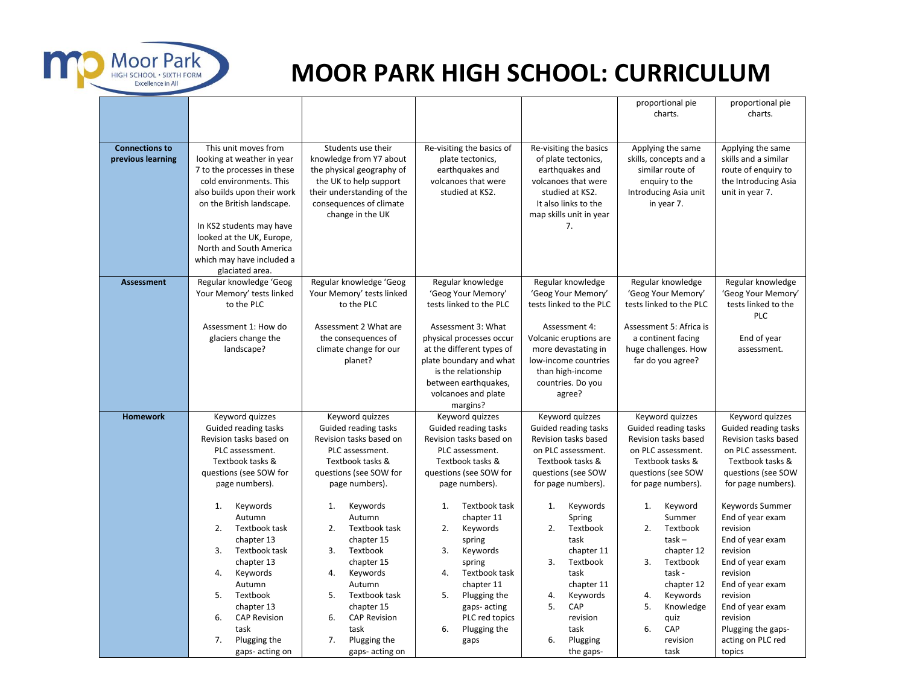

|                                            |                                                                                                                                                                                                                                                                                                              |                                                                                                                                                                                   |                                                                                                                                                                                          |                                                                                                                                                                     | proportional pie<br>charts.                                                                                                                           | proportional pie<br>charts.                                                                                                                                         |
|--------------------------------------------|--------------------------------------------------------------------------------------------------------------------------------------------------------------------------------------------------------------------------------------------------------------------------------------------------------------|-----------------------------------------------------------------------------------------------------------------------------------------------------------------------------------|------------------------------------------------------------------------------------------------------------------------------------------------------------------------------------------|---------------------------------------------------------------------------------------------------------------------------------------------------------------------|-------------------------------------------------------------------------------------------------------------------------------------------------------|---------------------------------------------------------------------------------------------------------------------------------------------------------------------|
|                                            |                                                                                                                                                                                                                                                                                                              |                                                                                                                                                                                   |                                                                                                                                                                                          |                                                                                                                                                                     |                                                                                                                                                       |                                                                                                                                                                     |
| <b>Connections to</b><br>previous learning | This unit moves from<br>looking at weather in year<br>7 to the processes in these<br>cold environments. This<br>also builds upon their work<br>on the British landscape.<br>In KS2 students may have<br>looked at the UK, Europe,<br>North and South America<br>which may have included a<br>glaciated area. | Students use their<br>knowledge from Y7 about<br>the physical geography of<br>the UK to help support<br>their understanding of the<br>consequences of climate<br>change in the UK | Re-visiting the basics of<br>plate tectonics,<br>earthquakes and<br>volcanoes that were<br>studied at KS2.                                                                               | Re-visiting the basics<br>of plate tectonics,<br>earthquakes and<br>volcanoes that were<br>studied at KS2.<br>It also links to the<br>map skills unit in year<br>7. | Applying the same<br>skills, concepts and a<br>similar route of<br>enquiry to the<br>Introducing Asia unit<br>in year 7.                              | Applying the same<br>skills and a similar<br>route of enquiry to<br>the Introducing Asia<br>unit in year 7.                                                         |
| <b>Assessment</b>                          | Regular knowledge 'Geog<br>Your Memory' tests linked<br>to the PLC                                                                                                                                                                                                                                           | Regular knowledge 'Geog<br>Your Memory' tests linked<br>to the PLC                                                                                                                | Regular knowledge<br>'Geog Your Memory'<br>tests linked to the PLC                                                                                                                       | Regular knowledge<br>'Geog Your Memory'<br>tests linked to the PLC                                                                                                  | Regular knowledge<br>'Geog Your Memory'<br>tests linked to the PLC                                                                                    | Regular knowledge<br>'Geog Your Memory'<br>tests linked to the<br><b>PLC</b>                                                                                        |
|                                            | Assessment 1: How do<br>glaciers change the<br>landscape?                                                                                                                                                                                                                                                    | Assessment 2 What are<br>the consequences of<br>climate change for our<br>planet?                                                                                                 | Assessment 3: What<br>physical processes occur<br>at the different types of<br>plate boundary and what<br>is the relationship<br>between earthquakes,<br>volcanoes and plate<br>margins? | Assessment 4:<br>Volcanic eruptions are<br>more devastating in<br>low-income countries<br>than high-income<br>countries. Do you<br>agree?                           | Assessment 5: Africa is<br>a continent facing<br>huge challenges. How<br>far do you agree?                                                            | End of year<br>assessment.                                                                                                                                          |
| <b>Homework</b>                            | Keyword quizzes<br>Guided reading tasks<br>Revision tasks based on<br>PLC assessment.<br>Textbook tasks &<br>questions (see SOW for<br>page numbers).                                                                                                                                                        | Keyword quizzes<br>Guided reading tasks<br>Revision tasks based on<br>PLC assessment.<br>Textbook tasks &<br>questions (see SOW for<br>page numbers).                             | Keyword quizzes<br>Guided reading tasks<br>Revision tasks based on<br>PLC assessment.<br>Textbook tasks &<br>questions (see SOW for<br>page numbers).                                    | Keyword quizzes<br>Guided reading tasks<br>Revision tasks based<br>on PLC assessment.<br>Textbook tasks &<br>questions (see SOW<br>for page numbers).               | Keyword quizzes<br>Guided reading tasks<br>Revision tasks based<br>on PLC assessment.<br>Textbook tasks &<br>questions (see SOW<br>for page numbers). | Keyword quizzes<br>Guided reading tasks<br>Revision tasks based<br>on PLC assessment.<br>Textbook tasks &<br>questions (see SOW<br>for page numbers).               |
|                                            | Keywords<br>1.<br>Autumn<br>2.<br>Textbook task<br>chapter 13<br>Textbook task<br>3.<br>chapter 13<br>Keywords<br>4.<br>Autumn<br>5.<br>Textbook<br>chapter 13                                                                                                                                               | Keywords<br>1.<br>Autumn<br>2.<br>Textbook task<br>chapter 15<br>Textbook<br>3.<br>chapter 15<br>Keywords<br>4.<br>Autumn<br>5.<br>Textbook task<br>chapter 15                    | Textbook task<br>1.<br>chapter 11<br>2.<br>Keywords<br>spring<br>3.<br>Keywords<br>spring<br>Textbook task<br>4.<br>chapter 11<br>5.<br>Plugging the<br>gaps-acting                      | 1.<br>Keywords<br>Spring<br>2.<br>Textbook<br>task<br>chapter 11<br>3.<br>Textbook<br>task<br>chapter 11<br>4.<br>Keywords<br>5.<br>CAP                             | Keyword<br>1.<br>Summer<br>2.<br>Textbook<br>$task -$<br>chapter 12<br>Textbook<br>3.<br>task-<br>chapter 12<br>Keywords<br>4.<br>5.<br>Knowledge     | Keywords Summer<br>End of year exam<br>revision<br>End of year exam<br>revision<br>End of year exam<br>revision<br>End of year exam<br>revision<br>End of year exam |
|                                            | 6.<br><b>CAP Revision</b><br>task<br>7.<br>Plugging the<br>gaps-acting on                                                                                                                                                                                                                                    | <b>CAP Revision</b><br>6.<br>task<br>7.<br>Plugging the<br>gaps-acting on                                                                                                         | PLC red topics<br>6.<br>Plugging the<br>gaps                                                                                                                                             | revision<br>task<br>6.<br>Plugging<br>the gaps-                                                                                                                     | quiz<br>6.<br>CAP<br>revision<br>task                                                                                                                 | revision<br>Plugging the gaps-<br>acting on PLC red<br>topics                                                                                                       |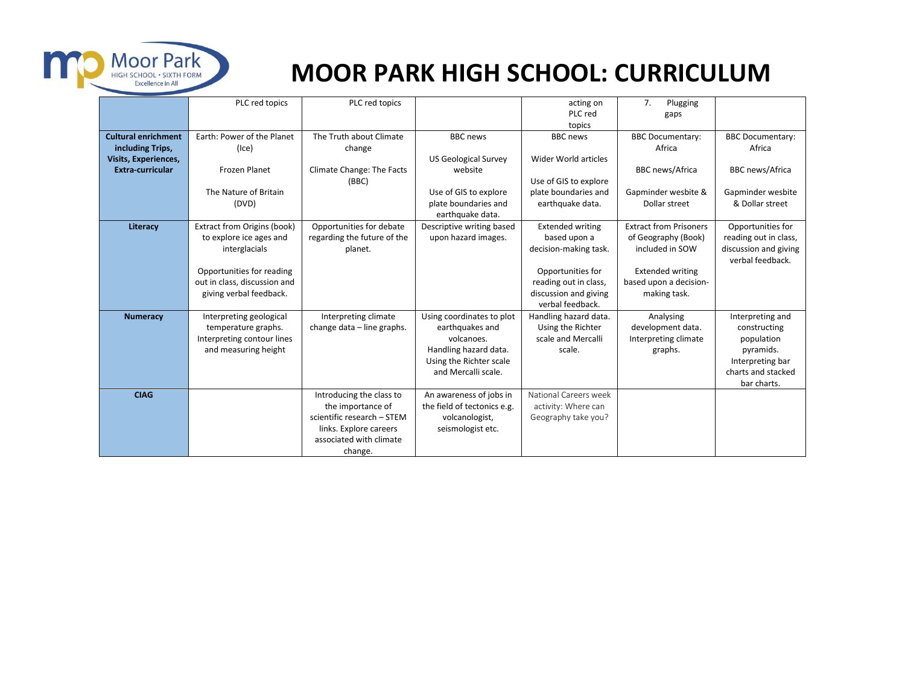

|                             | PLC red topics                     | PLC red topics              |                             | acting on                                 | 7.<br>Plugging                |                         |
|-----------------------------|------------------------------------|-----------------------------|-----------------------------|-------------------------------------------|-------------------------------|-------------------------|
|                             |                                    |                             |                             | PLC red                                   | gaps                          |                         |
|                             |                                    |                             |                             | topics                                    |                               |                         |
| <b>Cultural enrichment</b>  | Earth: Power of the Planet         | The Truth about Climate     | <b>BBC</b> news             | <b>BBC</b> news                           | <b>BBC Documentary:</b>       | <b>BBC Documentary:</b> |
| including Trips,            | $($ Ice $)$                        | change                      |                             |                                           | Africa                        | Africa                  |
| <b>Visits, Experiences,</b> |                                    |                             | <b>US Geological Survey</b> | Wider World articles                      |                               |                         |
| Extra-curricular            | <b>Frozen Planet</b>               | Climate Change: The Facts   | website                     |                                           | <b>BBC</b> news/Africa        | <b>BBC</b> news/Africa  |
|                             |                                    | (BBC)                       |                             | Use of GIS to explore                     |                               |                         |
|                             | The Nature of Britain              |                             | Use of GIS to explore       | plate boundaries and                      | Gapminder wesbite &           | Gapminder wesbite       |
|                             | (DVD)                              |                             | plate boundaries and        | earthquake data.                          | Dollar street                 | & Dollar street         |
|                             |                                    |                             | earthquake data.            |                                           |                               |                         |
| Literacy                    | <b>Extract from Origins (book)</b> | Opportunities for debate    | Descriptive writing based   | <b>Extended writing</b>                   | <b>Extract from Prisoners</b> | Opportunities for       |
|                             | to explore ice ages and            | regarding the future of the | upon hazard images.         | based upon a                              | of Geography (Book)           | reading out in class,   |
|                             | interglacials                      | planet.                     |                             | decision-making task.                     | included in SOW               | discussion and giving   |
|                             |                                    |                             |                             |                                           |                               | verbal feedback.        |
|                             | Opportunities for reading          |                             |                             | Opportunities for                         | <b>Extended writing</b>       |                         |
|                             | out in class, discussion and       |                             |                             | reading out in class,                     | based upon a decision-        |                         |
|                             | giving verbal feedback.            |                             |                             | discussion and giving<br>verbal feedback. | making task.                  |                         |
|                             | Interpreting geological            | Interpreting climate        | Using coordinates to plot   | Handling hazard data.                     | Analysing                     | Interpreting and        |
| <b>Numeracy</b>             | temperature graphs.                | change data - line graphs.  | earthquakes and             | Using the Richter                         | development data.             | constructing            |
|                             | Interpreting contour lines         |                             | volcanoes.                  | scale and Mercalli                        | Interpreting climate          | population              |
|                             | and measuring height               |                             | Handling hazard data.       | scale.                                    | graphs.                       | pyramids.               |
|                             |                                    |                             | Using the Richter scale     |                                           |                               | Interpreting bar        |
|                             |                                    |                             | and Mercalli scale.         |                                           |                               | charts and stacked      |
|                             |                                    |                             |                             |                                           |                               | bar charts.             |
| <b>CIAG</b>                 |                                    | Introducing the class to    | An awareness of jobs in     | National Careers week                     |                               |                         |
|                             |                                    | the importance of           | the field of tectonics e.g. | activity: Where can                       |                               |                         |
|                             |                                    | scientific research - STEM  | volcanologist,              | Geography take you?                       |                               |                         |
|                             |                                    | links. Explore careers      | seismologist etc.           |                                           |                               |                         |
|                             |                                    | associated with climate     |                             |                                           |                               |                         |
|                             |                                    | change.                     |                             |                                           |                               |                         |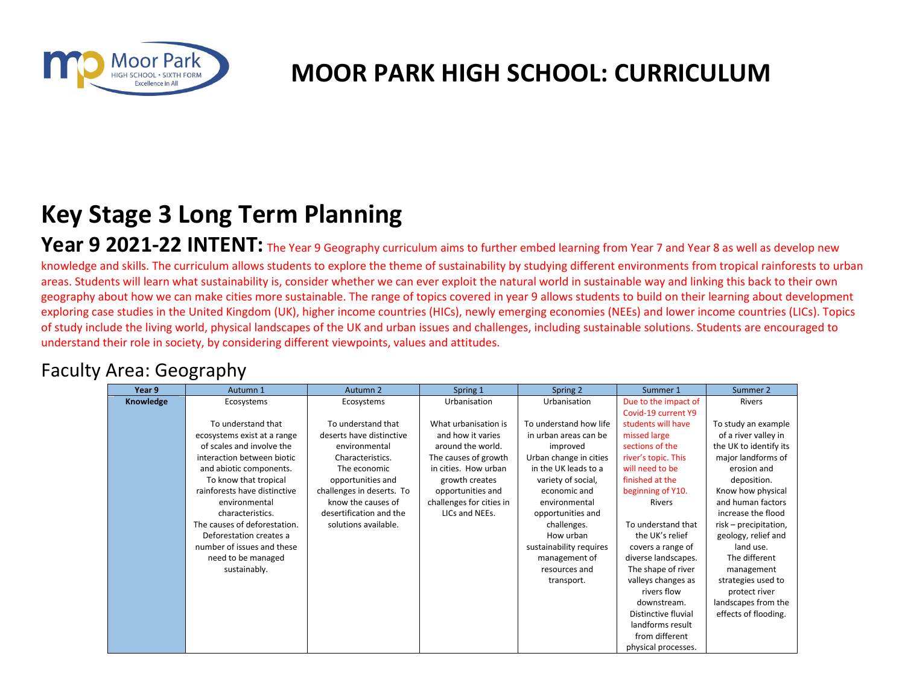

# **Key Stage 3 Long Term Planning**

Year 9 2021-22 INTENT: The Year 9 Geography curriculum aims to further embed learning from Year 7 and Year 8 as well as develop new knowledge and skills. The curriculum allows students to explore the theme of sustainability by studying different environments from tropical rainforests to urban areas. Students will learn what sustainability is, consider whether we can ever exploit the natural world in sustainable way and linking this back to their own geography about how we can make cities more sustainable. The range of topics covered in year 9 allows students to build on their learning about development exploring case studies in the United Kingdom (UK), higher income countries (HICs), newly emerging economies (NEEs) and lower income countries (LICs). Topics of study include the living world, physical landscapes of the UK and urban issues and challenges, including sustainable solutions. Students are encouraged to understand their role in society, by considering different viewpoints, values and attitudes.

#### Faculty Area: Geography

| Year 9    | Autumn 1                     | Autumn 2                  | Spring 1                 | Spring 2                | Summer 1             | Summer 2               |
|-----------|------------------------------|---------------------------|--------------------------|-------------------------|----------------------|------------------------|
| Knowledge | Ecosystems                   | Ecosystems                | Urbanisation             | Urbanisation            | Due to the impact of | Rivers                 |
|           |                              |                           |                          |                         | Covid-19 current Y9  |                        |
|           | To understand that           | To understand that        | What urbanisation is     | To understand how life  | students will have   | To study an example    |
|           | ecosystems exist at a range  | deserts have distinctive  | and how it varies        | in urban areas can be   | missed large         | of a river valley in   |
|           | of scales and involve the    | environmental             | around the world.        | improved                | sections of the      | the UK to identify its |
|           | interaction between biotic   | Characteristics.          | The causes of growth     | Urban change in cities  | river's topic. This  | major landforms of     |
|           | and abiotic components.      | The economic              | in cities. How urban     | in the UK leads to a    | will need to be      | erosion and            |
|           | To know that tropical        | opportunities and         | growth creates           | variety of social,      | finished at the      | deposition.            |
|           | rainforests have distinctive | challenges in deserts. To | opportunities and        | economic and            | beginning of Y10.    | Know how physical      |
|           | environmental                | know the causes of        | challenges for cities in | environmental           | <b>Rivers</b>        | and human factors      |
|           | characteristics.             | desertification and the   | LICs and NEEs.           | opportunities and       |                      | increase the flood     |
|           | The causes of deforestation. | solutions available.      |                          | challenges.             | To understand that   | risk – precipitation,  |
|           | Deforestation creates a      |                           |                          | How urban               | the UK's relief      | geology, relief and    |
|           | number of issues and these   |                           |                          | sustainability requires | covers a range of    | land use.              |
|           | need to be managed           |                           |                          | management of           | diverse landscapes.  | The different          |
|           | sustainably.                 |                           |                          | resources and           | The shape of river   | management             |
|           |                              |                           |                          | transport.              | valleys changes as   | strategies used to     |
|           |                              |                           |                          |                         | rivers flow          | protect river          |
|           |                              |                           |                          |                         | downstream.          | landscapes from the    |
|           |                              |                           |                          |                         | Distinctive fluvial  | effects of flooding.   |
|           |                              |                           |                          |                         | landforms result     |                        |
|           |                              |                           |                          |                         | from different       |                        |
|           |                              |                           |                          |                         | physical processes.  |                        |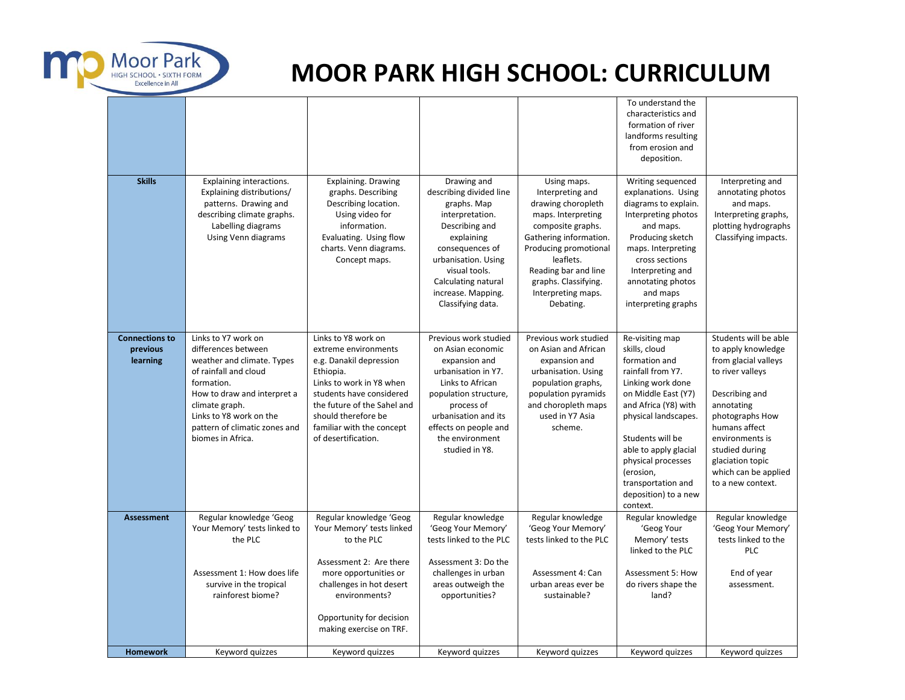

| <b>Skills</b>                                 | Explaining interactions.<br>Explaining distributions/                                                                                                                                                                                             | Explaining. Drawing                                                                                                                                                                                                                                   | Drawing and<br>describing divided line                                                                                                                                                                                              | Using maps.                                                                                                                                                                                                                          | To understand the<br>characteristics and<br>formation of river<br>landforms resulting<br>from erosion and<br>deposition.<br>Writing sequenced<br>explanations. Using                                                                                                                                         | Interpreting and<br>annotating photos                                                                                                                                                                                                                             |
|-----------------------------------------------|---------------------------------------------------------------------------------------------------------------------------------------------------------------------------------------------------------------------------------------------------|-------------------------------------------------------------------------------------------------------------------------------------------------------------------------------------------------------------------------------------------------------|-------------------------------------------------------------------------------------------------------------------------------------------------------------------------------------------------------------------------------------|--------------------------------------------------------------------------------------------------------------------------------------------------------------------------------------------------------------------------------------|--------------------------------------------------------------------------------------------------------------------------------------------------------------------------------------------------------------------------------------------------------------------------------------------------------------|-------------------------------------------------------------------------------------------------------------------------------------------------------------------------------------------------------------------------------------------------------------------|
|                                               | patterns. Drawing and<br>describing climate graphs.<br>Labelling diagrams<br>Using Venn diagrams                                                                                                                                                  | graphs. Describing<br>Describing location.<br>Using video for<br>information.<br>Evaluating. Using flow<br>charts. Venn diagrams.<br>Concept maps.                                                                                                    | graphs. Map<br>interpretation.<br>Describing and<br>explaining<br>consequences of<br>urbanisation. Using<br>visual tools.<br>Calculating natural<br>increase. Mapping.<br>Classifying data.                                         | Interpreting and<br>drawing choropleth<br>maps. Interpreting<br>composite graphs.<br>Gathering information.<br>Producing promotional<br>leaflets.<br>Reading bar and line<br>graphs. Classifying.<br>Interpreting maps.<br>Debating. | diagrams to explain.<br>Interpreting photos<br>and maps.<br>Producing sketch<br>maps. Interpreting<br>cross sections<br>Interpreting and<br>annotating photos<br>and maps<br>interpreting graphs                                                                                                             | and maps.<br>Interpreting graphs,<br>plotting hydrographs<br>Classifying impacts.                                                                                                                                                                                 |
| <b>Connections to</b><br>previous<br>learning | Links to Y7 work on<br>differences between<br>weather and climate. Types<br>of rainfall and cloud<br>formation.<br>How to draw and interpret a<br>climate graph.<br>Links to Y8 work on the<br>pattern of climatic zones and<br>biomes in Africa. | Links to Y8 work on<br>extreme environments<br>e.g. Danakil depression<br>Ethiopia.<br>Links to work in Y8 when<br>students have considered<br>the future of the Sahel and<br>should therefore be<br>familiar with the concept<br>of desertification. | Previous work studied<br>on Asian economic<br>expansion and<br>urbanisation in Y7.<br>Links to African<br>population structure,<br>process of<br>urbanisation and its<br>effects on people and<br>the environment<br>studied in Y8. | Previous work studied<br>on Asian and African<br>expansion and<br>urbanisation. Using<br>population graphs,<br>population pyramids<br>and choropleth maps<br>used in Y7 Asia<br>scheme.                                              | Re-visiting map<br>skills, cloud<br>formation and<br>rainfall from Y7.<br>Linking work done<br>on Middle East (Y7)<br>and Africa (Y8) with<br>physical landscapes.<br>Students will be<br>able to apply glacial<br>physical processes<br>(erosion,<br>transportation and<br>deposition) to a new<br>context. | Students will be able<br>to apply knowledge<br>from glacial valleys<br>to river valleys<br>Describing and<br>annotating<br>photographs How<br>humans affect<br>environments is<br>studied during<br>glaciation topic<br>which can be applied<br>to a new context. |
| <b>Assessment</b>                             | Regular knowledge 'Geog<br>Your Memory' tests linked to<br>the PLC                                                                                                                                                                                | Regular knowledge 'Geog<br>Your Memory' tests linked<br>to the PLC<br>Assessment 2: Are there                                                                                                                                                         | Regular knowledge<br>'Geog Your Memory'<br>tests linked to the PLC<br>Assessment 3: Do the                                                                                                                                          | Regular knowledge<br>'Geog Your Memory'<br>tests linked to the PLC                                                                                                                                                                   | Regular knowledge<br>'Geog Your<br>Memory' tests<br>linked to the PLC                                                                                                                                                                                                                                        | Regular knowledge<br>'Geog Your Memory'<br>tests linked to the<br><b>PLC</b>                                                                                                                                                                                      |
|                                               | Assessment 1: How does life<br>survive in the tropical<br>rainforest biome?                                                                                                                                                                       | more opportunities or<br>challenges in hot desert<br>environments?<br>Opportunity for decision<br>making exercise on TRF.                                                                                                                             | challenges in urban<br>areas outweigh the<br>opportunities?                                                                                                                                                                         | Assessment 4: Can<br>urban areas ever be<br>sustainable?                                                                                                                                                                             | Assessment 5: How<br>do rivers shape the<br>land?                                                                                                                                                                                                                                                            | End of year<br>assessment.                                                                                                                                                                                                                                        |
| <b>Homework</b>                               | Keyword guizzes                                                                                                                                                                                                                                   | Keyword guizzes                                                                                                                                                                                                                                       | Keyword guizzes                                                                                                                                                                                                                     | Keyword guizzes                                                                                                                                                                                                                      | Keyword guizzes                                                                                                                                                                                                                                                                                              | Keyword guizzes                                                                                                                                                                                                                                                   |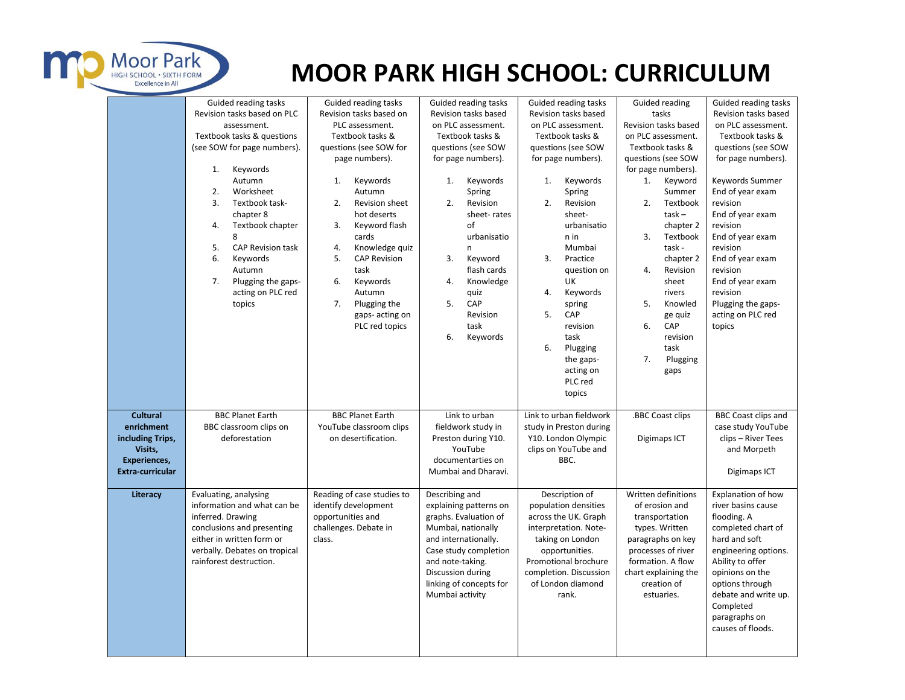

|                     | Guided reading tasks                                    | Guided reading tasks            | Guided reading tasks                       | Guided reading tasks                      | <b>Guided reading</b>               | Guided reading tasks                |
|---------------------|---------------------------------------------------------|---------------------------------|--------------------------------------------|-------------------------------------------|-------------------------------------|-------------------------------------|
|                     | Revision tasks based on PLC                             | Revision tasks based on         | Revision tasks based                       | Revision tasks based                      | tasks                               | Revision tasks based                |
|                     | assessment.                                             | PLC assessment.                 | on PLC assessment.                         | on PLC assessment.                        | Revision tasks based                | on PLC assessment.                  |
|                     | Textbook tasks & questions                              | Textbook tasks &                | Textbook tasks &                           | Textbook tasks &                          | on PLC assessment.                  | Textbook tasks &                    |
|                     | (see SOW for page numbers).                             | questions (see SOW for          | questions (see SOW                         | questions (see SOW                        | Textbook tasks &                    | questions (see SOW                  |
|                     |                                                         | page numbers).                  | for page numbers).                         | for page numbers).                        | questions (see SOW                  | for page numbers).                  |
|                     | Keywords<br>1.                                          |                                 |                                            |                                           | for page numbers).                  |                                     |
|                     | Autumn                                                  | Keywords<br>1.                  | Keywords<br>1.                             | Keywords<br>1.                            | 1.<br>Keyword                       | Keywords Summer                     |
|                     | Worksheet<br>2.                                         | Autumn                          | Spring                                     | Spring                                    | Summer                              | End of year exam                    |
|                     | 3.<br>Textbook task-                                    | Revision sheet<br>2.            | Revision<br>2.                             | 2.<br>Revision                            | Textbook<br>2.                      | revision                            |
|                     | chapter 8                                               | hot deserts                     | sheet-rates                                | sheet-                                    | $task -$                            | End of year exam                    |
|                     | Textbook chapter<br>4.                                  | Keyword flash<br>3.             | of                                         | urbanisatio                               | chapter 2                           | revision                            |
|                     | 8                                                       | cards                           | urbanisatio                                | n in                                      | Textbook<br>3.                      | End of year exam                    |
|                     | 5.<br><b>CAP Revision task</b>                          | Knowledge quiz<br>4.            | n                                          | Mumbai                                    | task-                               | revision                            |
|                     | 6.<br>Keywords                                          | 5.<br><b>CAP Revision</b>       | 3.<br>Keyword                              | 3.<br>Practice                            | chapter 2                           | End of year exam                    |
|                     | Autumn                                                  | task                            | flash cards                                | question on                               | 4.<br>Revision                      | revision                            |
|                     | 7.<br>Plugging the gaps-                                | 6.<br>Keywords                  | Knowledge<br>4.                            | UK                                        | sheet                               | End of year exam                    |
|                     | acting on PLC red                                       | Autumn                          | quiz                                       | 4.<br>Keywords                            | rivers                              | revision                            |
|                     | topics                                                  | 7.<br>Plugging the              | 5.<br>CAP                                  | spring                                    | 5.<br>Knowled                       | Plugging the gaps-                  |
|                     |                                                         | gaps-acting on                  | Revision                                   | 5.<br>CAP                                 | ge quiz                             | acting on PLC red                   |
|                     |                                                         | PLC red topics                  | task                                       | revision                                  | CAP<br>6.                           | topics                              |
|                     |                                                         |                                 | 6.<br>Keywords                             | task                                      | revision                            |                                     |
|                     |                                                         |                                 |                                            | 6.<br>Plugging                            | task                                |                                     |
|                     |                                                         |                                 |                                            | the gaps-                                 | 7.<br>Plugging                      |                                     |
|                     |                                                         |                                 |                                            | acting on                                 | gaps                                |                                     |
|                     |                                                         |                                 |                                            | PLC red                                   |                                     |                                     |
|                     |                                                         |                                 |                                            | topics                                    |                                     |                                     |
| <b>Cultural</b>     | <b>BBC Planet Earth</b>                                 | <b>BBC Planet Earth</b>         | Link to urban                              | Link to urban fieldwork                   | <b>.BBC Coast clips</b>             | <b>BBC Coast clips and</b>          |
| enrichment          | BBC classroom clips on                                  | YouTube classroom clips         | fieldwork study in                         | study in Preston during                   |                                     | case study YouTube                  |
| including Trips,    | deforestation                                           | on desertification.             | Preston during Y10.                        | Y10. London Olympic                       | Digimaps ICT                        | clips - River Tees                  |
| Visits,             |                                                         |                                 | YouTube                                    | clips on YouTube and                      |                                     | and Morpeth                         |
| <b>Experiences,</b> |                                                         |                                 | documentarties on                          | BBC.                                      |                                     |                                     |
| Extra-curricular    |                                                         |                                 | Mumbai and Dharavi.                        |                                           |                                     | Digimaps ICT                        |
|                     |                                                         |                                 |                                            |                                           |                                     |                                     |
| Literacy            | Evaluating, analysing                                   | Reading of case studies to      | Describing and                             | Description of                            | Written definitions                 | Explanation of how                  |
|                     | information and what can be                             | identify development            | explaining patterns on                     | population densities                      | of erosion and                      | river basins cause                  |
|                     | inferred. Drawing                                       | opportunities and               | graphs. Evaluation of                      | across the UK. Graph                      | transportation                      | flooding. A                         |
|                     | conclusions and presenting<br>either in written form or | challenges. Debate in<br>class. | Mumbai, nationally<br>and internationally. | interpretation. Note-<br>taking on London | types. Written<br>paragraphs on key | completed chart of<br>hard and soft |
|                     | verbally. Debates on tropical                           |                                 | Case study completion                      | opportunities.                            | processes of river                  | engineering options.                |
|                     | rainforest destruction.                                 |                                 | and note-taking.                           | Promotional brochure                      | formation. A flow                   | Ability to offer                    |
|                     |                                                         |                                 | Discussion during                          | completion. Discussion                    | chart explaining the                | opinions on the                     |
|                     |                                                         |                                 |                                            |                                           |                                     |                                     |
|                     |                                                         |                                 |                                            |                                           |                                     |                                     |
|                     |                                                         |                                 | linking of concepts for                    | of London diamond                         | creation of                         | options through                     |
|                     |                                                         |                                 | Mumbai activity                            | rank.                                     | estuaries.                          | debate and write up.                |
|                     |                                                         |                                 |                                            |                                           |                                     | Completed                           |
|                     |                                                         |                                 |                                            |                                           |                                     | paragraphs on<br>causes of floods.  |
|                     |                                                         |                                 |                                            |                                           |                                     |                                     |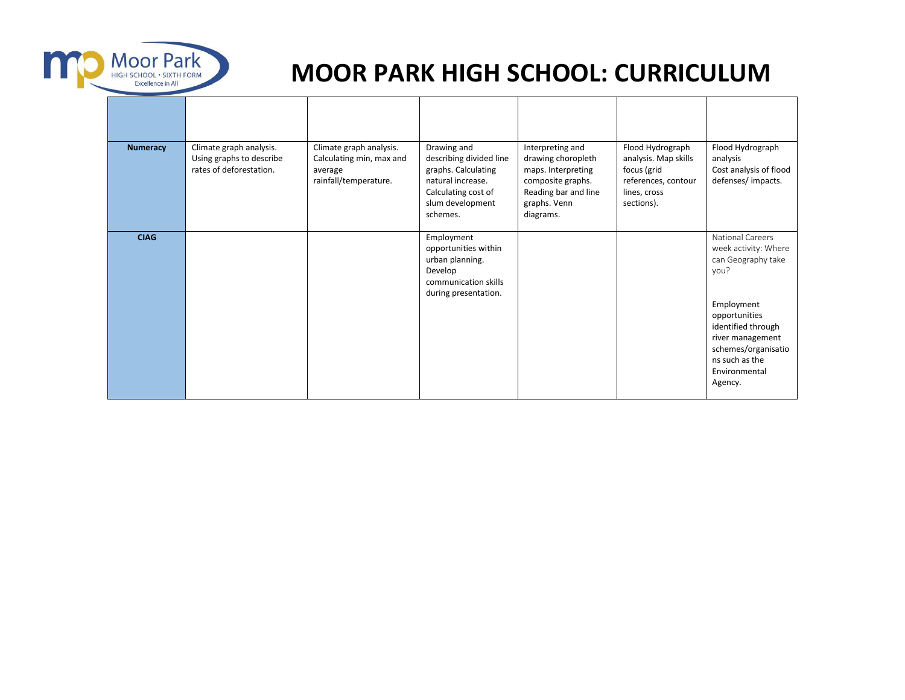

| <b>Numeracy</b> | Climate graph analysis.<br>Using graphs to describe<br>rates of deforestation. | Climate graph analysis.<br>Calculating min, max and<br>average<br>rainfall/temperature. | Drawing and<br>describing divided line<br>graphs. Calculating<br>natural increase.<br>Calculating cost of<br>slum development<br>schemes. | Interpreting and<br>drawing choropleth<br>maps. Interpreting<br>composite graphs.<br>Reading bar and line<br>graphs. Venn<br>diagrams. | Flood Hydrograph<br>analysis. Map skills<br>focus (grid<br>references, contour<br>lines, cross<br>sections). | Flood Hydrograph<br>analysis<br>Cost analysis of flood<br>defenses/impacts.                                                                |
|-----------------|--------------------------------------------------------------------------------|-----------------------------------------------------------------------------------------|-------------------------------------------------------------------------------------------------------------------------------------------|----------------------------------------------------------------------------------------------------------------------------------------|--------------------------------------------------------------------------------------------------------------|--------------------------------------------------------------------------------------------------------------------------------------------|
| <b>CIAG</b>     |                                                                                |                                                                                         | Employment<br>opportunities within<br>urban planning.<br>Develop<br>communication skills<br>during presentation.                          |                                                                                                                                        |                                                                                                              | National Careers<br>week activity: Where<br>can Geography take<br>you?                                                                     |
|                 |                                                                                |                                                                                         |                                                                                                                                           |                                                                                                                                        |                                                                                                              | Employment<br>opportunities<br>identified through<br>river management<br>schemes/organisatio<br>ns such as the<br>Environmental<br>Agency. |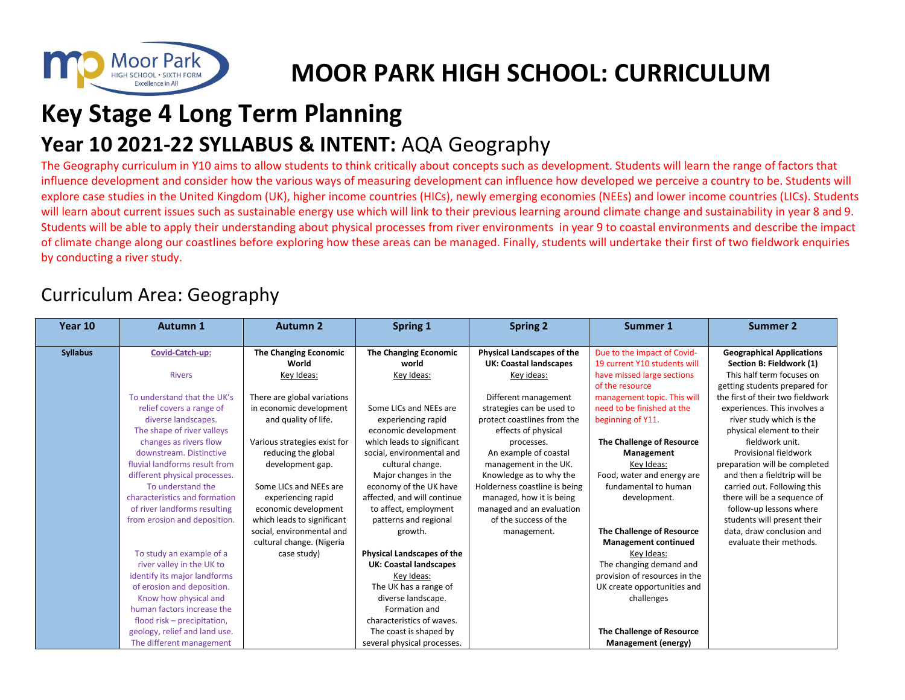

#### **Key Stage 4 Long Term Planning Year 10 2021-22 SYLLABUS & INTENT:** AQA Geography

The Geography curriculum in Y10 aims to allow students to think critically about concepts such as development. Students will learn the range of factors that influence development and consider how the various ways of measuring development can influence how developed we perceive a country to be. Students will explore case studies in the United Kingdom (UK), higher income countries (HICs), newly emerging economies (NEEs) and lower income countries (LICs). Students will learn about current issues such as sustainable energy use which will link to their previous learning around climate change and sustainability in year 8 and 9. Students will be able to apply their understanding about physical processes from river environments in year 9 to coastal environments and describe the impact of climate change along our coastlines before exploring how these areas can be managed. Finally, students will undertake their first of two fieldwork enquiries by conducting a river study.

#### Curriculum Area: Geography

| Year 10         | Autumn 1                      | <b>Autumn 2</b>              | <b>Spring 1</b>                   | <b>Spring 2</b>                   | Summer 1                      | <b>Summer 2</b>                  |
|-----------------|-------------------------------|------------------------------|-----------------------------------|-----------------------------------|-------------------------------|----------------------------------|
| <b>Syllabus</b> | Covid-Catch-up:               | The Changing Economic        | <b>The Changing Economic</b>      | <b>Physical Landscapes of the</b> | Due to the impact of Covid-   | <b>Geographical Applications</b> |
|                 |                               | World                        | world                             | <b>UK: Coastal landscapes</b>     | 19 current Y10 students will  | Section B: Fieldwork (1)         |
|                 | <b>Rivers</b>                 | Key Ideas:                   | Key Ideas:                        | Key ideas:                        | have missed large sections    | This half term focuses on        |
|                 |                               |                              |                                   |                                   | of the resource               | getting students prepared for    |
|                 | To understand that the UK's   | There are global variations  |                                   | Different management              | management topic. This will   | the first of their two fieldwork |
|                 | relief covers a range of      | in economic development      | Some LICs and NEEs are            | strategies can be used to         | need to be finished at the    | experiences. This involves a     |
|                 | diverse landscapes.           | and quality of life.         | experiencing rapid                | protect coastlines from the       | beginning of Y11.             | river study which is the         |
|                 | The shape of river valleys    |                              | economic development              | effects of physical               |                               | physical element to their        |
|                 | changes as rivers flow        | Various strategies exist for | which leads to significant        | processes.                        | The Challenge of Resource     | fieldwork unit.                  |
|                 | downstream. Distinctive       | reducing the global          | social, environmental and         | An example of coastal             | Management                    | Provisional fieldwork            |
|                 | fluvial landforms result from | development gap.             | cultural change.                  | management in the UK.             | Key Ideas:                    | preparation will be completed    |
|                 | different physical processes. |                              | Major changes in the              | Knowledge as to why the           | Food, water and energy are    | and then a fieldtrip will be     |
|                 | To understand the             | Some LICs and NEEs are       | economy of the UK have            | Holderness coastline is being     | fundamental to human          | carried out. Following this      |
|                 | characteristics and formation | experiencing rapid           | affected, and will continue       | managed, how it is being          | development.                  | there will be a sequence of      |
|                 | of river landforms resulting  | economic development         | to affect, employment             | managed and an evaluation         |                               | follow-up lessons where          |
|                 | from erosion and deposition.  | which leads to significant   | patterns and regional             | of the success of the             |                               | students will present their      |
|                 |                               | social, environmental and    | growth.                           | management.                       | The Challenge of Resource     | data, draw conclusion and        |
|                 |                               | cultural change. (Nigeria    |                                   |                                   | <b>Management continued</b>   | evaluate their methods.          |
|                 | To study an example of a      | case study)                  | <b>Physical Landscapes of the</b> |                                   | Key Ideas:                    |                                  |
|                 | river valley in the UK to     |                              | <b>UK: Coastal landscapes</b>     |                                   | The changing demand and       |                                  |
|                 | identify its major landforms  |                              | Key Ideas:                        |                                   | provision of resources in the |                                  |
|                 | of erosion and deposition.    |                              | The UK has a range of             |                                   | UK create opportunities and   |                                  |
|                 | Know how physical and         |                              | diverse landscape.                |                                   | challenges                    |                                  |
|                 | human factors increase the    |                              | Formation and                     |                                   |                               |                                  |
|                 | flood risk – precipitation,   |                              | characteristics of waves.         |                                   |                               |                                  |
|                 | geology, relief and land use. |                              | The coast is shaped by            |                                   | The Challenge of Resource     |                                  |
|                 | The different management      |                              | several physical processes.       |                                   | Management (energy)           |                                  |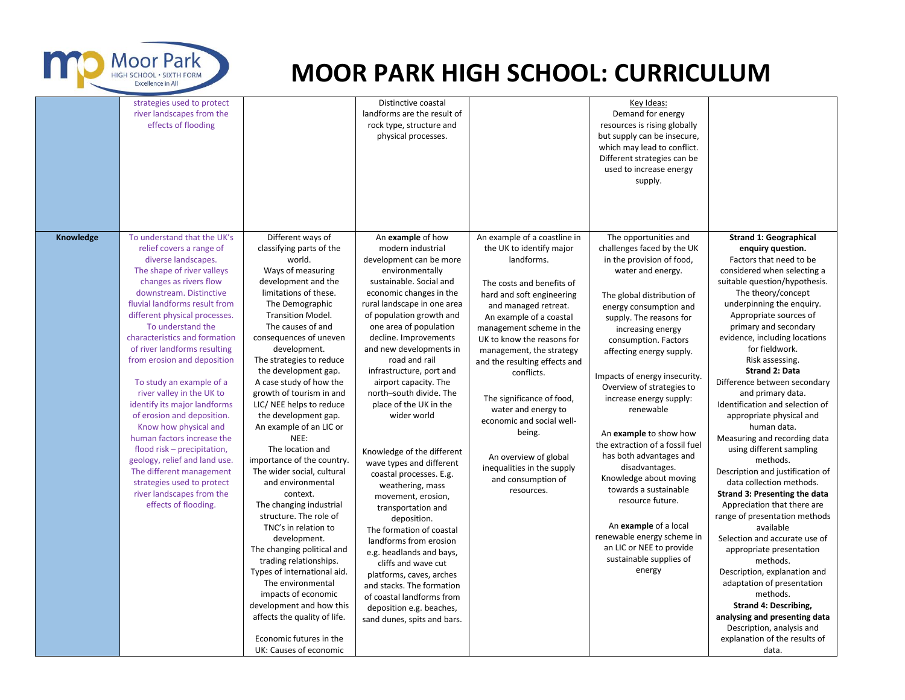

| Knowledge | strategies used to protect<br>river landscapes from the<br>effects of flooding<br>To understand that the UK's                                                                                                                                                                                                                                                                                                                                                                                                                                                                                                                                                                          | Different ways of                                                                                                                                                                                                                                                                                                                                                                                                                                                                                                                                                                                                                                                                                                                                                                                                                                                                         | Distinctive coastal<br>landforms are the result of<br>rock type, structure and<br>physical processes.<br>An example of how                                                                                                                                                                                                                                                                                                                                                                                                                                                                                                                                                                                                                                                                                                             | An example of a coastline in                                                                                                                                                                                                                                                                                                                                                                                                                                                   | Key Ideas:<br>Demand for energy<br>resources is rising globally<br>but supply can be insecure,<br>which may lead to conflict.<br>Different strategies can be<br>used to increase energy<br>supply.<br>The opportunities and                                                                                                                                                                                                                                                                                                                                                                                                                             | <b>Strand 1: Geographical</b>                                                                                                                                                                                                                                                                                                                                                                                                                                                                                                                                                                                                                                                                                                                                                                                                                                                                                                                                                                         |
|-----------|----------------------------------------------------------------------------------------------------------------------------------------------------------------------------------------------------------------------------------------------------------------------------------------------------------------------------------------------------------------------------------------------------------------------------------------------------------------------------------------------------------------------------------------------------------------------------------------------------------------------------------------------------------------------------------------|-------------------------------------------------------------------------------------------------------------------------------------------------------------------------------------------------------------------------------------------------------------------------------------------------------------------------------------------------------------------------------------------------------------------------------------------------------------------------------------------------------------------------------------------------------------------------------------------------------------------------------------------------------------------------------------------------------------------------------------------------------------------------------------------------------------------------------------------------------------------------------------------|----------------------------------------------------------------------------------------------------------------------------------------------------------------------------------------------------------------------------------------------------------------------------------------------------------------------------------------------------------------------------------------------------------------------------------------------------------------------------------------------------------------------------------------------------------------------------------------------------------------------------------------------------------------------------------------------------------------------------------------------------------------------------------------------------------------------------------------|--------------------------------------------------------------------------------------------------------------------------------------------------------------------------------------------------------------------------------------------------------------------------------------------------------------------------------------------------------------------------------------------------------------------------------------------------------------------------------|---------------------------------------------------------------------------------------------------------------------------------------------------------------------------------------------------------------------------------------------------------------------------------------------------------------------------------------------------------------------------------------------------------------------------------------------------------------------------------------------------------------------------------------------------------------------------------------------------------------------------------------------------------|-------------------------------------------------------------------------------------------------------------------------------------------------------------------------------------------------------------------------------------------------------------------------------------------------------------------------------------------------------------------------------------------------------------------------------------------------------------------------------------------------------------------------------------------------------------------------------------------------------------------------------------------------------------------------------------------------------------------------------------------------------------------------------------------------------------------------------------------------------------------------------------------------------------------------------------------------------------------------------------------------------|
|           | relief covers a range of<br>diverse landscapes.<br>The shape of river valleys<br>changes as rivers flow<br>downstream. Distinctive<br>fluvial landforms result from<br>different physical processes.<br>To understand the<br>characteristics and formation<br>of river landforms resulting<br>from erosion and deposition<br>To study an example of a<br>river valley in the UK to<br>identify its major landforms<br>of erosion and deposition.<br>Know how physical and<br>human factors increase the<br>flood risk - precipitation,<br>geology, relief and land use.<br>The different management<br>strategies used to protect<br>river landscapes from the<br>effects of flooding. | classifying parts of the<br>world.<br>Ways of measuring<br>development and the<br>limitations of these.<br>The Demographic<br><b>Transition Model.</b><br>The causes of and<br>consequences of uneven<br>development.<br>The strategies to reduce<br>the development gap.<br>A case study of how the<br>growth of tourism in and<br>LIC/ NEE helps to reduce<br>the development gap.<br>An example of an LIC or<br>NEE:<br>The location and<br>importance of the country.<br>The wider social, cultural<br>and environmental<br>context.<br>The changing industrial<br>structure. The role of<br>TNC's in relation to<br>development.<br>The changing political and<br>trading relationships.<br>Types of international aid.<br>The environmental<br>impacts of economic<br>development and how this<br>affects the quality of life.<br>Economic futures in the<br>UK: Causes of economic | modern industrial<br>development can be more<br>environmentally<br>sustainable. Social and<br>economic changes in the<br>rural landscape in one area<br>of population growth and<br>one area of population<br>decline. Improvements<br>and new developments in<br>road and rail<br>infrastructure, port and<br>airport capacity. The<br>north-south divide. The<br>place of the UK in the<br>wider world<br>Knowledge of the different<br>wave types and different<br>coastal processes. E.g.<br>weathering, mass<br>movement, erosion,<br>transportation and<br>deposition.<br>The formation of coastal<br>landforms from erosion<br>e.g. headlands and bays,<br>cliffs and wave cut<br>platforms, caves, arches<br>and stacks. The formation<br>of coastal landforms from<br>deposition e.g. beaches,<br>sand dunes, spits and bars. | the UK to identify major<br>landforms.<br>The costs and benefits of<br>hard and soft engineering<br>and managed retreat.<br>An example of a coastal<br>management scheme in the<br>UK to know the reasons for<br>management, the strategy<br>and the resulting effects and<br>conflicts.<br>The significance of food,<br>water and energy to<br>economic and social well-<br>being.<br>An overview of global<br>inequalities in the supply<br>and consumption of<br>resources. | challenges faced by the UK<br>in the provision of food,<br>water and energy.<br>The global distribution of<br>energy consumption and<br>supply. The reasons for<br>increasing energy<br>consumption. Factors<br>affecting energy supply.<br>Impacts of energy insecurity.<br>Overview of strategies to<br>increase energy supply:<br>renewable<br>An example to show how<br>the extraction of a fossil fuel<br>has both advantages and<br>disadvantages.<br>Knowledge about moving<br>towards a sustainable<br>resource future.<br>An example of a local<br>renewable energy scheme in<br>an LIC or NEE to provide<br>sustainable supplies of<br>energy | enquiry question.<br>Factors that need to be<br>considered when selecting a<br>suitable question/hypothesis.<br>The theory/concept<br>underpinning the enquiry.<br>Appropriate sources of<br>primary and secondary<br>evidence, including locations<br>for fieldwork.<br>Risk assessing.<br>Strand 2: Data<br>Difference between secondary<br>and primary data.<br>Identification and selection of<br>appropriate physical and<br>human data.<br>Measuring and recording data<br>using different sampling<br>methods.<br>Description and justification of<br>data collection methods.<br><b>Strand 3: Presenting the data</b><br>Appreciation that there are<br>range of presentation methods<br>available<br>Selection and accurate use of<br>appropriate presentation<br>methods.<br>Description, explanation and<br>adaptation of presentation<br>methods.<br><b>Strand 4: Describing,</b><br>analysing and presenting data<br>Description, analysis and<br>explanation of the results of<br>data. |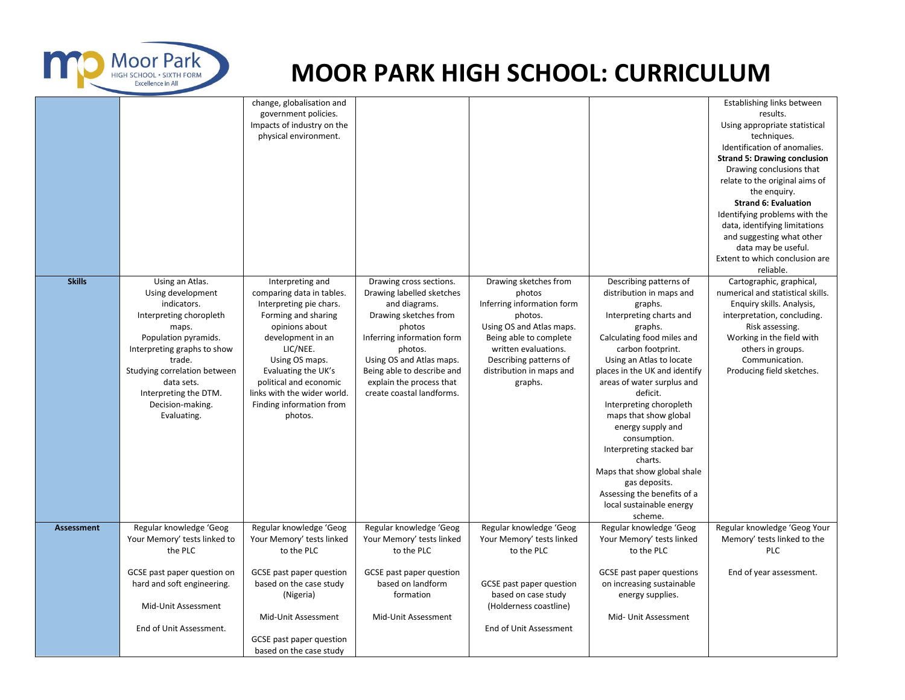

|                   |                                 | change, globalisation and<br>government policies. |                            |                            |                                                  | Establishing links between<br>results. |
|-------------------|---------------------------------|---------------------------------------------------|----------------------------|----------------------------|--------------------------------------------------|----------------------------------------|
|                   |                                 | Impacts of industry on the                        |                            |                            |                                                  | Using appropriate statistical          |
|                   |                                 | physical environment.                             |                            |                            |                                                  | techniques.                            |
|                   |                                 |                                                   |                            |                            |                                                  | Identification of anomalies.           |
|                   |                                 |                                                   |                            |                            |                                                  | <b>Strand 5: Drawing conclusion</b>    |
|                   |                                 |                                                   |                            |                            |                                                  | Drawing conclusions that               |
|                   |                                 |                                                   |                            |                            |                                                  | relate to the original aims of         |
|                   |                                 |                                                   |                            |                            |                                                  | the enguiry.                           |
|                   |                                 |                                                   |                            |                            |                                                  | <b>Strand 6: Evaluation</b>            |
|                   |                                 |                                                   |                            |                            |                                                  | Identifying problems with the          |
|                   |                                 |                                                   |                            |                            |                                                  | data, identifying limitations          |
|                   |                                 |                                                   |                            |                            |                                                  | and suggesting what other              |
|                   |                                 |                                                   |                            |                            |                                                  | data may be useful.                    |
|                   |                                 |                                                   |                            |                            |                                                  | Extent to which conclusion are         |
|                   |                                 |                                                   |                            |                            |                                                  | reliable.                              |
| <b>Skills</b>     | Using an Atlas.                 | Interpreting and                                  | Drawing cross sections.    | Drawing sketches from      | Describing patterns of                           | Cartographic, graphical,               |
|                   | Using development               | comparing data in tables.                         | Drawing labelled sketches  | photos                     | distribution in maps and                         | numerical and statistical skills.      |
|                   | indicators.                     | Interpreting pie chars.                           | and diagrams.              | Inferring information form | graphs.                                          | Enquiry skills. Analysis,              |
|                   | Interpreting choropleth         | Forming and sharing                               | Drawing sketches from      | photos.                    | Interpreting charts and                          | interpretation, concluding.            |
|                   | maps.                           | opinions about                                    | photos                     | Using OS and Atlas maps.   | graphs.                                          | Risk assessing.                        |
|                   | Population pyramids.            | development in an                                 | Inferring information form | Being able to complete     | Calculating food miles and                       | Working in the field with              |
|                   | Interpreting graphs to show     | LIC/NEE.                                          | photos.                    | written evaluations.       | carbon footprint.                                | others in groups.                      |
|                   | trade.                          | Using OS maps.                                    | Using OS and Atlas maps.   | Describing patterns of     | Using an Atlas to locate                         | Communication.                         |
|                   | Studying correlation between    | Evaluating the UK's                               | Being able to describe and | distribution in maps and   | places in the UK and identify                    | Producing field sketches.              |
|                   | data sets.                      | political and economic                            | explain the process that   | graphs.                    | areas of water surplus and                       |                                        |
|                   | Interpreting the DTM.           | links with the wider world.                       | create coastal landforms.  |                            | deficit.                                         |                                        |
|                   | Decision-making.<br>Evaluating. | Finding information from<br>photos.               |                            |                            | Interpreting choropleth<br>maps that show global |                                        |
|                   |                                 |                                                   |                            |                            | energy supply and                                |                                        |
|                   |                                 |                                                   |                            |                            | consumption.                                     |                                        |
|                   |                                 |                                                   |                            |                            | Interpreting stacked bar                         |                                        |
|                   |                                 |                                                   |                            |                            | charts.                                          |                                        |
|                   |                                 |                                                   |                            |                            | Maps that show global shale                      |                                        |
|                   |                                 |                                                   |                            |                            | gas deposits.                                    |                                        |
|                   |                                 |                                                   |                            |                            | Assessing the benefits of a                      |                                        |
|                   |                                 |                                                   |                            |                            | local sustainable energy                         |                                        |
|                   |                                 |                                                   |                            |                            | scheme.                                          |                                        |
| <b>Assessment</b> | Regular knowledge 'Geog         | Regular knowledge 'Geog                           | Regular knowledge 'Geog    | Regular knowledge 'Geog    | Regular knowledge 'Geog                          | Regular knowledge 'Geog Your           |
|                   | Your Memory' tests linked to    | Your Memory' tests linked                         | Your Memory' tests linked  | Your Memory' tests linked  | Your Memory' tests linked                        | Memory' tests linked to the            |
|                   | the PLC                         | to the PLC                                        | to the PLC                 | to the PLC                 | to the PLC                                       | <b>PLC</b>                             |
|                   |                                 |                                                   |                            |                            |                                                  |                                        |
|                   | GCSE past paper question on     | GCSE past paper question                          | GCSE past paper question   |                            | GCSE past paper questions                        | End of year assessment.                |
|                   | hard and soft engineering.      | based on the case study                           | based on landform          | GCSE past paper question   | on increasing sustainable                        |                                        |
|                   |                                 | (Nigeria)                                         | formation                  | based on case study        | energy supplies.                                 |                                        |
|                   | Mid-Unit Assessment             | Mid-Unit Assessment                               | Mid-Unit Assessment        | (Holderness coastline)     | Mid- Unit Assessment                             |                                        |
|                   | End of Unit Assessment.         |                                                   |                            | End of Unit Assessment     |                                                  |                                        |
|                   |                                 | GCSE past paper question                          |                            |                            |                                                  |                                        |
|                   |                                 | based on the case study                           |                            |                            |                                                  |                                        |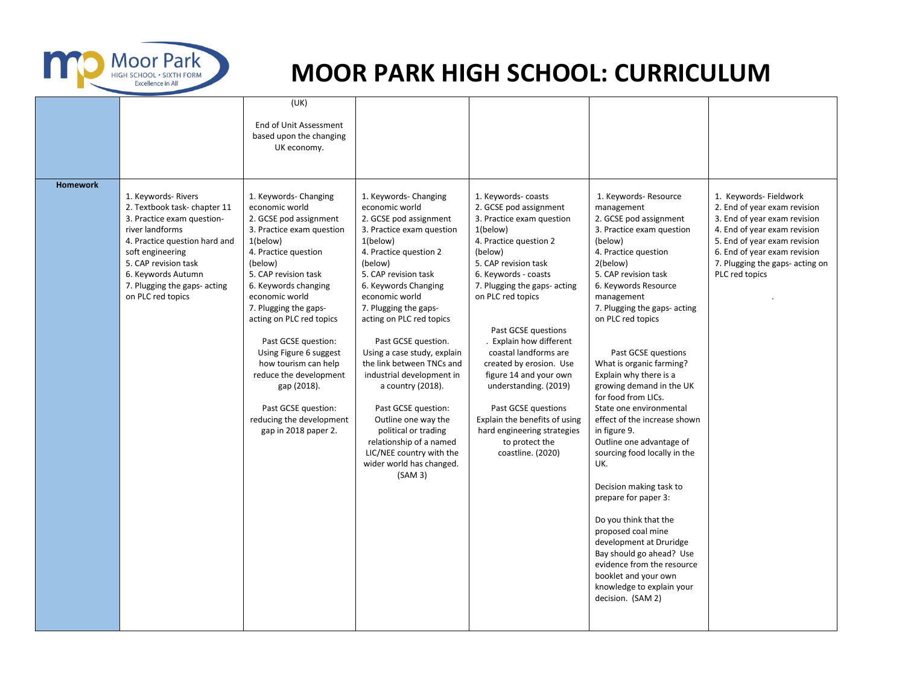

| <b>Homework</b> | 1. Keywords- Rivers<br>2. Textbook task- chapter 11<br>3. Practice exam question-                                                                                       | (UK)<br>End of Unit Assessment<br>based upon the changing<br>UK economy.<br>1. Keywords- Changing<br>economic world<br>2. GCSE pod assignment                                                                                                                                                                                                                                                | 1. Keywords- Changing<br>economic world                                                                                                                                                                                                                                                                                                                                                                                                                                                                                              | 1. Keywords-coasts<br>2. GCSE pod assignment                                                                                                                                                                                                                                                                                                                                                                                                                           | 1. Keywords-Resource<br>management                                                                                                                                                                                                                                                                                                                                                                                                                                                                                                                                                                                                                                                                                                                                   | 1. Keywords- Fieldwork<br>2. End of year exam revision<br>3. End of year exam revision                                                            |
|-----------------|-------------------------------------------------------------------------------------------------------------------------------------------------------------------------|----------------------------------------------------------------------------------------------------------------------------------------------------------------------------------------------------------------------------------------------------------------------------------------------------------------------------------------------------------------------------------------------|--------------------------------------------------------------------------------------------------------------------------------------------------------------------------------------------------------------------------------------------------------------------------------------------------------------------------------------------------------------------------------------------------------------------------------------------------------------------------------------------------------------------------------------|------------------------------------------------------------------------------------------------------------------------------------------------------------------------------------------------------------------------------------------------------------------------------------------------------------------------------------------------------------------------------------------------------------------------------------------------------------------------|----------------------------------------------------------------------------------------------------------------------------------------------------------------------------------------------------------------------------------------------------------------------------------------------------------------------------------------------------------------------------------------------------------------------------------------------------------------------------------------------------------------------------------------------------------------------------------------------------------------------------------------------------------------------------------------------------------------------------------------------------------------------|---------------------------------------------------------------------------------------------------------------------------------------------------|
|                 | river landforms<br>4. Practice question hard and<br>soft engineering<br>5. CAP revision task<br>6. Keywords Autumn<br>7. Plugging the gaps- acting<br>on PLC red topics | 3. Practice exam question<br>1(below)<br>4. Practice question<br>(below)<br>5. CAP revision task<br>6. Keywords changing<br>economic world<br>7. Plugging the gaps-<br>acting on PLC red topics<br>Past GCSE question:<br>Using Figure 6 suggest<br>how tourism can help<br>reduce the development<br>gap (2018).<br>Past GCSE question:<br>reducing the development<br>gap in 2018 paper 2. | 2. GCSE pod assignment<br>3. Practice exam question<br>1(below)<br>4. Practice question 2<br>(below)<br>5. CAP revision task<br>6. Keywords Changing<br>economic world<br>7. Plugging the gaps-<br>acting on PLC red topics<br>Past GCSE question.<br>Using a case study, explain<br>the link between TNCs and<br>industrial development in<br>a country (2018).<br>Past GCSE question:<br>Outline one way the<br>political or trading<br>relationship of a named<br>LIC/NEE country with the<br>wider world has changed.<br>(SAM 3) | 3. Practice exam question<br>1(below)<br>4. Practice question 2<br>(below)<br>5. CAP revision task<br>6. Keywords - coasts<br>7. Plugging the gaps- acting<br>on PLC red topics<br>Past GCSE questions<br>. Explain how different<br>coastal landforms are<br>created by erosion. Use<br>figure 14 and your own<br>understanding. (2019)<br>Past GCSE questions<br>Explain the benefits of using<br>hard engineering strategies<br>to protect the<br>coastline. (2020) | 2. GCSE pod assignment<br>3. Practice exam question<br>(below)<br>4. Practice question<br>2(below)<br>5. CAP revision task<br>6. Keywords Resource<br>management<br>7. Plugging the gaps- acting<br>on PLC red topics<br>Past GCSE questions<br>What is organic farming?<br>Explain why there is a<br>growing demand in the UK<br>for food from LICs.<br>State one environmental<br>effect of the increase shown<br>in figure 9.<br>Outline one advantage of<br>sourcing food locally in the<br>UK.<br>Decision making task to<br>prepare for paper 3:<br>Do you think that the<br>proposed coal mine<br>development at Druridge<br>Bay should go ahead? Use<br>evidence from the resource<br>booklet and your own<br>knowledge to explain your<br>decision. (SAM 2) | 4. End of year exam revision<br>5. End of year exam revision<br>6. End of year exam revision<br>7. Plugging the gaps- acting on<br>PLC red topics |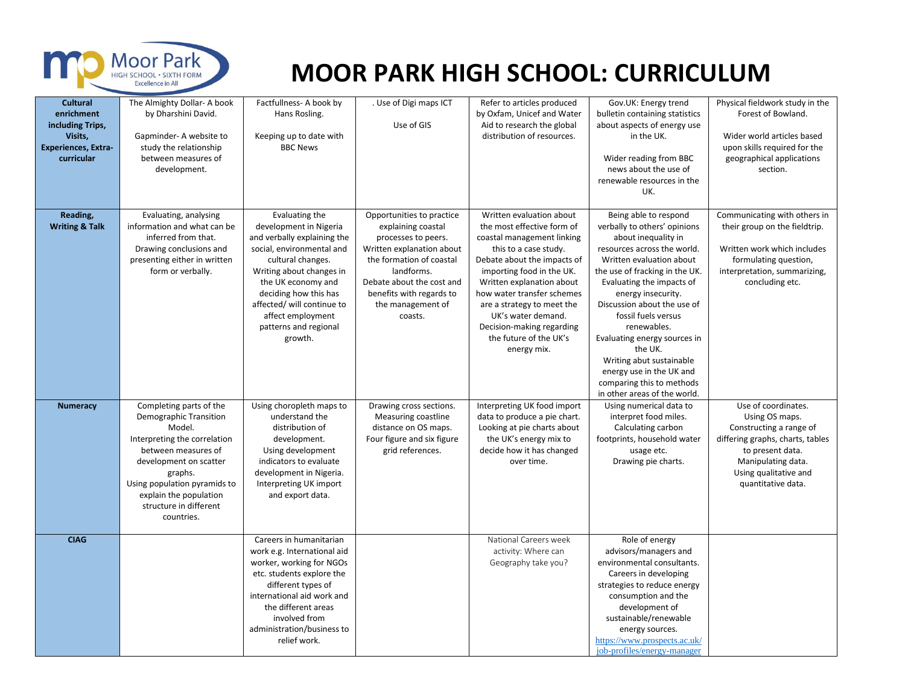

| <b>Cultural</b><br>enrichment<br>including Trips,<br>Visits,<br><b>Experiences, Extra-</b><br>curricular | The Almighty Dollar-A book<br>by Dharshini David.<br>Gapminder- A website to<br>study the relationship<br>between measures of<br>development.                                                                                                                    | Factfullness- A book by<br>Hans Rosling.<br>Keeping up to date with<br><b>BBC News</b>                                                                                                                                                                                                      | . Use of Digi maps ICT<br>Use of GIS                                                                                                                                                                                                   | Refer to articles produced<br>by Oxfam, Unicef and Water<br>Aid to research the global<br>distribution of resources.                                                                                                                                                                                                                                           | Gov.UK: Energy trend<br>bulletin containing statistics<br>about aspects of energy use<br>in the UK.<br>Wider reading from BBC<br>news about the use of<br>renewable resources in the<br>UK.                                                                                                                                                                                                                                                                       | Physical fieldwork study in the<br>Forest of Bowland.<br>Wider world articles based<br>upon skills required for the<br>geographical applications<br>section.                                  |
|----------------------------------------------------------------------------------------------------------|------------------------------------------------------------------------------------------------------------------------------------------------------------------------------------------------------------------------------------------------------------------|---------------------------------------------------------------------------------------------------------------------------------------------------------------------------------------------------------------------------------------------------------------------------------------------|----------------------------------------------------------------------------------------------------------------------------------------------------------------------------------------------------------------------------------------|----------------------------------------------------------------------------------------------------------------------------------------------------------------------------------------------------------------------------------------------------------------------------------------------------------------------------------------------------------------|-------------------------------------------------------------------------------------------------------------------------------------------------------------------------------------------------------------------------------------------------------------------------------------------------------------------------------------------------------------------------------------------------------------------------------------------------------------------|-----------------------------------------------------------------------------------------------------------------------------------------------------------------------------------------------|
| Reading,<br><b>Writing &amp; Talk</b>                                                                    | Evaluating, analysing<br>information and what can be<br>inferred from that.<br>Drawing conclusions and<br>presenting either in written<br>form or verbally.                                                                                                      | Evaluating the<br>development in Nigeria<br>and verbally explaining the<br>social, environmental and<br>cultural changes.<br>Writing about changes in<br>the UK economy and<br>deciding how this has<br>affected/ will continue to<br>affect employment<br>patterns and regional<br>growth. | Opportunities to practice<br>explaining coastal<br>processes to peers.<br>Written explanation about<br>the formation of coastal<br>landforms.<br>Debate about the cost and<br>benefits with regards to<br>the management of<br>coasts. | Written evaluation about<br>the most effective form of<br>coastal management linking<br>this to a case study.<br>Debate about the impacts of<br>importing food in the UK.<br>Written explanation about<br>how water transfer schemes<br>are a strategy to meet the<br>UK's water demand.<br>Decision-making regarding<br>the future of the UK's<br>energy mix. | Being able to respond<br>verbally to others' opinions<br>about inequality in<br>resources across the world.<br>Written evaluation about<br>the use of fracking in the UK.<br>Evaluating the impacts of<br>energy insecurity.<br>Discussion about the use of<br>fossil fuels versus<br>renewables.<br>Evaluating energy sources in<br>the UK.<br>Writing abut sustainable<br>energy use in the UK and<br>comparing this to methods<br>in other areas of the world. | Communicating with others in<br>their group on the fieldtrip.<br>Written work which includes<br>formulating question,<br>interpretation, summarizing,<br>concluding etc.                      |
| <b>Numeracy</b>                                                                                          | Completing parts of the<br><b>Demographic Transition</b><br>Model.<br>Interpreting the correlation<br>between measures of<br>development on scatter<br>graphs.<br>Using population pyramids to<br>explain the population<br>structure in different<br>countries. | Using choropleth maps to<br>understand the<br>distribution of<br>development.<br>Using development<br>indicators to evaluate<br>development in Nigeria.<br>Interpreting UK import<br>and export data.                                                                                       | Drawing cross sections.<br>Measuring coastline<br>distance on OS maps.<br>Four figure and six figure<br>grid references.                                                                                                               | Interpreting UK food import<br>data to produce a pie chart.<br>Looking at pie charts about<br>the UK's energy mix to<br>decide how it has changed<br>over time.                                                                                                                                                                                                | Using numerical data to<br>interpret food miles.<br>Calculating carbon<br>footprints, household water<br>usage etc.<br>Drawing pie charts.                                                                                                                                                                                                                                                                                                                        | Use of coordinates.<br>Using OS maps.<br>Constructing a range of<br>differing graphs, charts, tables<br>to present data.<br>Manipulating data.<br>Using qualitative and<br>quantitative data. |
| <b>CIAG</b>                                                                                              |                                                                                                                                                                                                                                                                  | Careers in humanitarian<br>work e.g. International aid<br>worker, working for NGOs<br>etc. students explore the<br>different types of<br>international aid work and<br>the different areas<br>involved from<br>administration/business to<br>relief work.                                   |                                                                                                                                                                                                                                        | National Careers week<br>activity: Where can<br>Geography take you?                                                                                                                                                                                                                                                                                            | Role of energy<br>advisors/managers and<br>environmental consultants.<br>Careers in developing<br>strategies to reduce energy<br>consumption and the<br>development of<br>sustainable/renewable<br>energy sources.<br>https://www.prospects.ac.uk/<br>job-profiles/energy-manager                                                                                                                                                                                 |                                                                                                                                                                                               |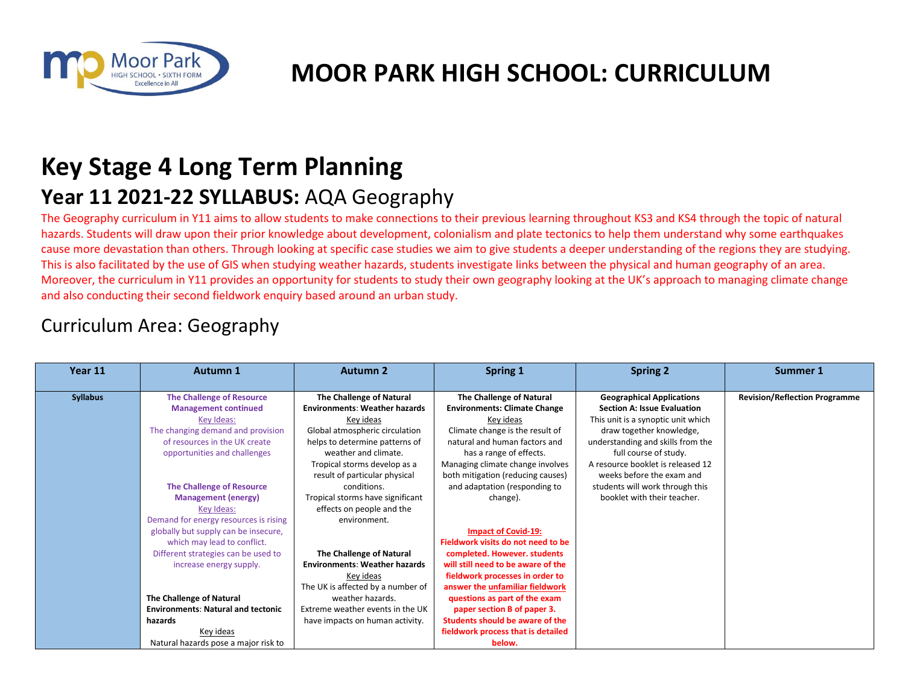

#### **Key Stage 4 Long Term Planning Year 11 2021-22 SYLLABUS:** AQA Geography

The Geography curriculum in Y11 aims to allow students to make connections to their previous learning throughout KS3 and KS4 through the topic of natural hazards. Students will draw upon their prior knowledge about development, colonialism and plate tectonics to help them understand why some earthquakes cause more devastation than others. Through looking at specific case studies we aim to give students a deeper understanding of the regions they are studying. This is also facilitated by the use of GIS when studying weather hazards, students investigate links between the physical and human geography of an area. Moreover, the curriculum in Y11 provides an opportunity for students to study their own geography looking at the UK's approach to managing climate change and also conducting their second fieldwork enquiry based around an urban study.

#### Curriculum Area: Geography

| Year 11         | <b>Autumn 1</b>                           | <b>Autumn 2</b>                      | Spring 1                            | <b>Spring 2</b>                    | Summer 1                             |
|-----------------|-------------------------------------------|--------------------------------------|-------------------------------------|------------------------------------|--------------------------------------|
| <b>Syllabus</b> | <b>The Challenge of Resource</b>          | The Challenge of Natural             | The Challenge of Natural            | <b>Geographical Applications</b>   | <b>Revision/Reflection Programme</b> |
|                 | <b>Management continued</b>               | <b>Environments: Weather hazards</b> | <b>Environments: Climate Change</b> | <b>Section A: Issue Evaluation</b> |                                      |
|                 | Key Ideas:                                | Key ideas                            | Key ideas                           | This unit is a synoptic unit which |                                      |
|                 | The changing demand and provision         | Global atmospheric circulation       | Climate change is the result of     | draw together knowledge,           |                                      |
|                 | of resources in the UK create             | helps to determine patterns of       | natural and human factors and       | understanding and skills from the  |                                      |
|                 | opportunities and challenges              | weather and climate.                 | has a range of effects.             | full course of study.              |                                      |
|                 |                                           | Tropical storms develop as a         | Managing climate change involves    | A resource booklet is released 12  |                                      |
|                 |                                           | result of particular physical        | both mitigation (reducing causes)   | weeks before the exam and          |                                      |
|                 | <b>The Challenge of Resource</b>          | conditions.                          | and adaptation (responding to       | students will work through this    |                                      |
|                 | <b>Management (energy)</b>                | Tropical storms have significant     | change).                            | booklet with their teacher.        |                                      |
|                 | Key Ideas:                                | effects on people and the            |                                     |                                    |                                      |
|                 | Demand for energy resources is rising     | environment.                         |                                     |                                    |                                      |
|                 | globally but supply can be insecure,      |                                      | <b>Impact of Covid-19:</b>          |                                    |                                      |
|                 | which may lead to conflict.               |                                      | Fieldwork visits do not need to be  |                                    |                                      |
|                 | Different strategies can be used to       | <b>The Challenge of Natural</b>      | completed. However. students        |                                    |                                      |
|                 | increase energy supply.                   | <b>Environments: Weather hazards</b> | will still need to be aware of the  |                                    |                                      |
|                 |                                           | Key ideas                            | fieldwork processes in order to     |                                    |                                      |
|                 |                                           | The UK is affected by a number of    | answer the unfamiliar fieldwork     |                                    |                                      |
|                 | <b>The Challenge of Natural</b>           | weather hazards.                     | questions as part of the exam       |                                    |                                      |
|                 | <b>Environments: Natural and tectonic</b> | Extreme weather events in the UK     | paper section B of paper 3.         |                                    |                                      |
|                 | hazards                                   | have impacts on human activity.      | Students should be aware of the     |                                    |                                      |
|                 | Key ideas                                 |                                      | fieldwork process that is detailed  |                                    |                                      |
|                 | Natural hazards pose a major risk to      |                                      | below.                              |                                    |                                      |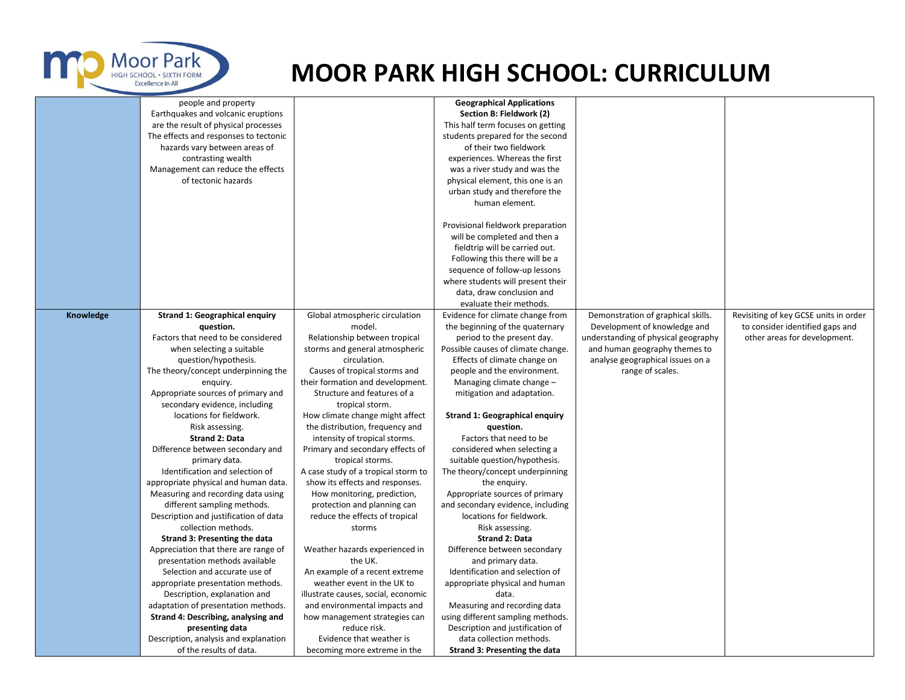

| <b>Geographical Applications</b><br>people and property                                                                                                        |                                       |
|----------------------------------------------------------------------------------------------------------------------------------------------------------------|---------------------------------------|
| Earthquakes and volcanic eruptions<br>Section B: Fieldwork (2)                                                                                                 |                                       |
| are the result of physical processes<br>This half term focuses on getting                                                                                      |                                       |
| The effects and responses to tectonic<br>students prepared for the second                                                                                      |                                       |
| hazards vary between areas of<br>of their two fieldwork                                                                                                        |                                       |
| experiences. Whereas the first<br>contrasting wealth                                                                                                           |                                       |
| Management can reduce the effects<br>was a river study and was the                                                                                             |                                       |
| of tectonic hazards<br>physical element, this one is an                                                                                                        |                                       |
| urban study and therefore the                                                                                                                                  |                                       |
| human element.                                                                                                                                                 |                                       |
|                                                                                                                                                                |                                       |
| Provisional fieldwork preparation                                                                                                                              |                                       |
| will be completed and then a                                                                                                                                   |                                       |
| fieldtrip will be carried out.                                                                                                                                 |                                       |
| Following this there will be a                                                                                                                                 |                                       |
| sequence of follow-up lessons                                                                                                                                  |                                       |
| where students will present their                                                                                                                              |                                       |
| data, draw conclusion and                                                                                                                                      |                                       |
| evaluate their methods.                                                                                                                                        |                                       |
| Knowledge<br><b>Strand 1: Geographical enquiry</b><br>Global atmospheric circulation<br>Evidence for climate change from<br>Demonstration of graphical skills. | Revisiting of key GCSE units in order |
| model.<br>question.<br>the beginning of the quaternary<br>Development of knowledge and                                                                         | to consider identified gaps and       |
| Factors that need to be considered<br>understanding of physical geography<br>Relationship between tropical<br>period to the present day.                       | other areas for development.          |
| when selecting a suitable<br>storms and general atmospheric<br>Possible causes of climate change.<br>and human geography themes to                             |                                       |
| question/hypothesis.<br>circulation.<br>Effects of climate change on<br>analyse geographical issues on a                                                       |                                       |
| The theory/concept underpinning the<br>Causes of tropical storms and<br>people and the environment.<br>range of scales.                                        |                                       |
| their formation and development.<br>Managing climate change -<br>enquiry.                                                                                      |                                       |
| Appropriate sources of primary and<br>Structure and features of a<br>mitigation and adaptation.                                                                |                                       |
| secondary evidence, including<br>tropical storm.                                                                                                               |                                       |
| locations for fieldwork.<br><b>Strand 1: Geographical enquiry</b><br>How climate change might affect                                                           |                                       |
| the distribution, frequency and<br>Risk assessing.<br>question.                                                                                                |                                       |
| <b>Strand 2: Data</b><br>intensity of tropical storms.<br>Factors that need to be                                                                              |                                       |
| Difference between secondary and<br>Primary and secondary effects of<br>considered when selecting a                                                            |                                       |
| suitable question/hypothesis.<br>primary data.<br>tropical storms.                                                                                             |                                       |
| Identification and selection of<br>A case study of a tropical storm to<br>The theory/concept underpinning                                                      |                                       |
| appropriate physical and human data.<br>show its effects and responses.<br>the enquiry.                                                                        |                                       |
| Measuring and recording data using<br>How monitoring, prediction,<br>Appropriate sources of primary                                                            |                                       |
| and secondary evidence, including<br>different sampling methods.<br>protection and planning can                                                                |                                       |
| Description and justification of data<br>reduce the effects of tropical<br>locations for fieldwork.                                                            |                                       |
| collection methods.<br>storms<br>Risk assessing.                                                                                                               |                                       |
| <b>Strand 3: Presenting the data</b><br><b>Strand 2: Data</b>                                                                                                  |                                       |
| Weather hazards experienced in<br>Difference between secondary<br>Appreciation that there are range of                                                         |                                       |
| presentation methods available<br>the UK.<br>and primary data.                                                                                                 |                                       |
| An example of a recent extreme<br>Selection and accurate use of<br>Identification and selection of                                                             |                                       |
| appropriate presentation methods.<br>weather event in the UK to<br>appropriate physical and human                                                              |                                       |
| Description, explanation and<br>illustrate causes, social, economic<br>data.                                                                                   |                                       |
| adaptation of presentation methods.<br>Measuring and recording data<br>and environmental impacts and                                                           |                                       |
| Strand 4: Describing, analysing and<br>how management strategies can<br>using different sampling methods.                                                      |                                       |
| Description and justification of<br>presenting data<br>reduce risk.                                                                                            |                                       |
| Description, analysis and explanation<br>Evidence that weather is<br>data collection methods.                                                                  |                                       |
| of the results of data.<br>becoming more extreme in the<br>Strand 3: Presenting the data                                                                       |                                       |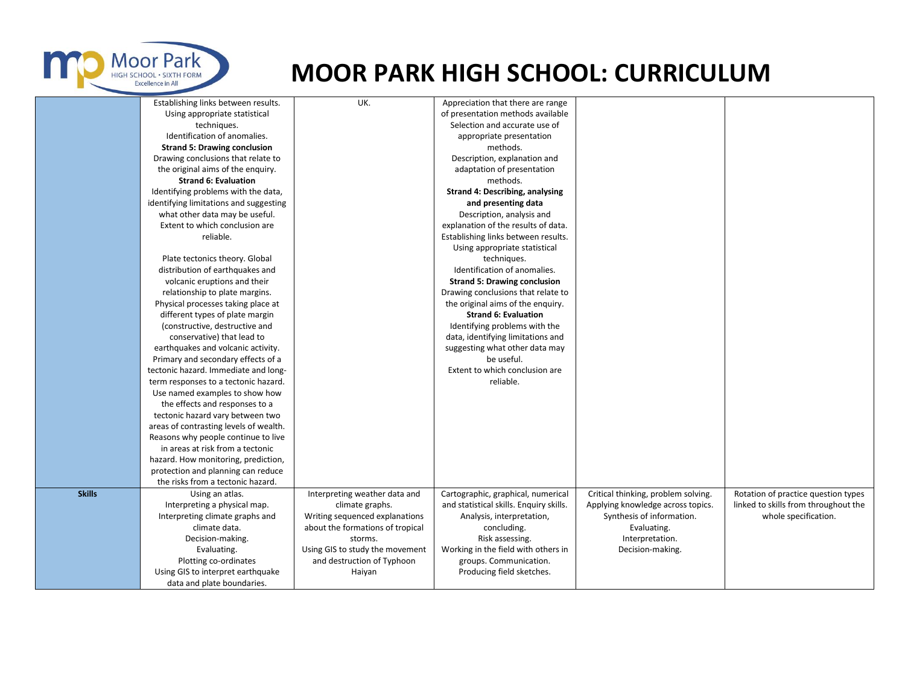| UK.<br>Establishing links between results.<br>Appreciation that there are range<br>of presentation methods available<br>Using appropriate statistical<br>Selection and accurate use of<br>techniques.<br>Identification of anomalies.<br>appropriate presentation<br><b>Strand 5: Drawing conclusion</b><br>methods.<br>Drawing conclusions that relate to<br>Description, explanation and<br>the original aims of the enquiry.<br>adaptation of presentation<br><b>Strand 6: Evaluation</b><br>methods.<br>Identifying problems with the data,<br><b>Strand 4: Describing, analysing</b><br>identifying limitations and suggesting<br>and presenting data<br>Description, analysis and<br>what other data may be useful.<br>Extent to which conclusion are<br>explanation of the results of data.<br>reliable.<br>Establishing links between results.<br>Using appropriate statistical<br>Plate tectonics theory. Global<br>techniques.<br>distribution of earthquakes and<br>Identification of anomalies.<br>volcanic eruptions and their<br><b>Strand 5: Drawing conclusion</b><br>relationship to plate margins.<br>Drawing conclusions that relate to<br>the original aims of the enquiry.<br>Physical processes taking place at<br>different types of plate margin<br><b>Strand 6: Evaluation</b><br>(constructive, destructive and<br>Identifying problems with the<br>conservative) that lead to<br>data, identifying limitations and<br>earthquakes and volcanic activity.<br>suggesting what other data may<br>Primary and secondary effects of a<br>be useful.<br>Extent to which conclusion are<br>tectonic hazard. Immediate and long-<br>term responses to a tectonic hazard.<br>reliable.<br>Use named examples to show how<br>the effects and responses to a<br>tectonic hazard vary between two<br>areas of contrasting levels of wealth.<br>Reasons why people continue to live<br>in areas at risk from a tectonic<br>hazard. How monitoring, prediction,<br>protection and planning can reduce<br>the risks from a tectonic hazard.<br><b>Skills</b><br>Interpreting weather data and<br>Cartographic, graphical, numerical<br>Critical thinking, problem solving.<br>Rotation of practice question types<br>Using an atlas.<br>linked to skills from throughout the<br>Interpreting a physical map.<br>climate graphs.<br>and statistical skills. Enquiry skills.<br>Applying knowledge across topics.<br>Synthesis of information.<br>Interpreting climate graphs and<br>Writing sequenced explanations<br>Analysis, interpretation,<br>whole specification.<br>about the formations of tropical<br>climate data.<br>concluding.<br>Evaluating.<br>Decision-making.<br>Risk assessing.<br>Interpretation.<br>storms.<br>Using GIS to study the movement<br>Working in the field with others in<br>Decision-making.<br>Evaluating.<br>Plotting co-ordinates<br>and destruction of Typhoon<br>groups. Communication.<br>Using GIS to interpret earthquake<br>Producing field sketches.<br>Haiyan<br>data and plate boundaries. |  |  |  |
|----------------------------------------------------------------------------------------------------------------------------------------------------------------------------------------------------------------------------------------------------------------------------------------------------------------------------------------------------------------------------------------------------------------------------------------------------------------------------------------------------------------------------------------------------------------------------------------------------------------------------------------------------------------------------------------------------------------------------------------------------------------------------------------------------------------------------------------------------------------------------------------------------------------------------------------------------------------------------------------------------------------------------------------------------------------------------------------------------------------------------------------------------------------------------------------------------------------------------------------------------------------------------------------------------------------------------------------------------------------------------------------------------------------------------------------------------------------------------------------------------------------------------------------------------------------------------------------------------------------------------------------------------------------------------------------------------------------------------------------------------------------------------------------------------------------------------------------------------------------------------------------------------------------------------------------------------------------------------------------------------------------------------------------------------------------------------------------------------------------------------------------------------------------------------------------------------------------------------------------------------------------------------------------------------------------------------------------------------------------------------------------------------------------------------------------------------------------------------------------------------------------------------------------------------------------------------------------------------------------------------------------------------------------------------------------------------------------------------------------------------------------------------------------------------------------------------------------------------------------------------------------------------------------------------------------------------------------------------------------------------------------------------------------------------|--|--|--|
|                                                                                                                                                                                                                                                                                                                                                                                                                                                                                                                                                                                                                                                                                                                                                                                                                                                                                                                                                                                                                                                                                                                                                                                                                                                                                                                                                                                                                                                                                                                                                                                                                                                                                                                                                                                                                                                                                                                                                                                                                                                                                                                                                                                                                                                                                                                                                                                                                                                                                                                                                                                                                                                                                                                                                                                                                                                                                                                                                                                                                                                    |  |  |  |
|                                                                                                                                                                                                                                                                                                                                                                                                                                                                                                                                                                                                                                                                                                                                                                                                                                                                                                                                                                                                                                                                                                                                                                                                                                                                                                                                                                                                                                                                                                                                                                                                                                                                                                                                                                                                                                                                                                                                                                                                                                                                                                                                                                                                                                                                                                                                                                                                                                                                                                                                                                                                                                                                                                                                                                                                                                                                                                                                                                                                                                                    |  |  |  |
|                                                                                                                                                                                                                                                                                                                                                                                                                                                                                                                                                                                                                                                                                                                                                                                                                                                                                                                                                                                                                                                                                                                                                                                                                                                                                                                                                                                                                                                                                                                                                                                                                                                                                                                                                                                                                                                                                                                                                                                                                                                                                                                                                                                                                                                                                                                                                                                                                                                                                                                                                                                                                                                                                                                                                                                                                                                                                                                                                                                                                                                    |  |  |  |
|                                                                                                                                                                                                                                                                                                                                                                                                                                                                                                                                                                                                                                                                                                                                                                                                                                                                                                                                                                                                                                                                                                                                                                                                                                                                                                                                                                                                                                                                                                                                                                                                                                                                                                                                                                                                                                                                                                                                                                                                                                                                                                                                                                                                                                                                                                                                                                                                                                                                                                                                                                                                                                                                                                                                                                                                                                                                                                                                                                                                                                                    |  |  |  |
|                                                                                                                                                                                                                                                                                                                                                                                                                                                                                                                                                                                                                                                                                                                                                                                                                                                                                                                                                                                                                                                                                                                                                                                                                                                                                                                                                                                                                                                                                                                                                                                                                                                                                                                                                                                                                                                                                                                                                                                                                                                                                                                                                                                                                                                                                                                                                                                                                                                                                                                                                                                                                                                                                                                                                                                                                                                                                                                                                                                                                                                    |  |  |  |
|                                                                                                                                                                                                                                                                                                                                                                                                                                                                                                                                                                                                                                                                                                                                                                                                                                                                                                                                                                                                                                                                                                                                                                                                                                                                                                                                                                                                                                                                                                                                                                                                                                                                                                                                                                                                                                                                                                                                                                                                                                                                                                                                                                                                                                                                                                                                                                                                                                                                                                                                                                                                                                                                                                                                                                                                                                                                                                                                                                                                                                                    |  |  |  |
|                                                                                                                                                                                                                                                                                                                                                                                                                                                                                                                                                                                                                                                                                                                                                                                                                                                                                                                                                                                                                                                                                                                                                                                                                                                                                                                                                                                                                                                                                                                                                                                                                                                                                                                                                                                                                                                                                                                                                                                                                                                                                                                                                                                                                                                                                                                                                                                                                                                                                                                                                                                                                                                                                                                                                                                                                                                                                                                                                                                                                                                    |  |  |  |
|                                                                                                                                                                                                                                                                                                                                                                                                                                                                                                                                                                                                                                                                                                                                                                                                                                                                                                                                                                                                                                                                                                                                                                                                                                                                                                                                                                                                                                                                                                                                                                                                                                                                                                                                                                                                                                                                                                                                                                                                                                                                                                                                                                                                                                                                                                                                                                                                                                                                                                                                                                                                                                                                                                                                                                                                                                                                                                                                                                                                                                                    |  |  |  |
|                                                                                                                                                                                                                                                                                                                                                                                                                                                                                                                                                                                                                                                                                                                                                                                                                                                                                                                                                                                                                                                                                                                                                                                                                                                                                                                                                                                                                                                                                                                                                                                                                                                                                                                                                                                                                                                                                                                                                                                                                                                                                                                                                                                                                                                                                                                                                                                                                                                                                                                                                                                                                                                                                                                                                                                                                                                                                                                                                                                                                                                    |  |  |  |
|                                                                                                                                                                                                                                                                                                                                                                                                                                                                                                                                                                                                                                                                                                                                                                                                                                                                                                                                                                                                                                                                                                                                                                                                                                                                                                                                                                                                                                                                                                                                                                                                                                                                                                                                                                                                                                                                                                                                                                                                                                                                                                                                                                                                                                                                                                                                                                                                                                                                                                                                                                                                                                                                                                                                                                                                                                                                                                                                                                                                                                                    |  |  |  |
|                                                                                                                                                                                                                                                                                                                                                                                                                                                                                                                                                                                                                                                                                                                                                                                                                                                                                                                                                                                                                                                                                                                                                                                                                                                                                                                                                                                                                                                                                                                                                                                                                                                                                                                                                                                                                                                                                                                                                                                                                                                                                                                                                                                                                                                                                                                                                                                                                                                                                                                                                                                                                                                                                                                                                                                                                                                                                                                                                                                                                                                    |  |  |  |
|                                                                                                                                                                                                                                                                                                                                                                                                                                                                                                                                                                                                                                                                                                                                                                                                                                                                                                                                                                                                                                                                                                                                                                                                                                                                                                                                                                                                                                                                                                                                                                                                                                                                                                                                                                                                                                                                                                                                                                                                                                                                                                                                                                                                                                                                                                                                                                                                                                                                                                                                                                                                                                                                                                                                                                                                                                                                                                                                                                                                                                                    |  |  |  |
|                                                                                                                                                                                                                                                                                                                                                                                                                                                                                                                                                                                                                                                                                                                                                                                                                                                                                                                                                                                                                                                                                                                                                                                                                                                                                                                                                                                                                                                                                                                                                                                                                                                                                                                                                                                                                                                                                                                                                                                                                                                                                                                                                                                                                                                                                                                                                                                                                                                                                                                                                                                                                                                                                                                                                                                                                                                                                                                                                                                                                                                    |  |  |  |
|                                                                                                                                                                                                                                                                                                                                                                                                                                                                                                                                                                                                                                                                                                                                                                                                                                                                                                                                                                                                                                                                                                                                                                                                                                                                                                                                                                                                                                                                                                                                                                                                                                                                                                                                                                                                                                                                                                                                                                                                                                                                                                                                                                                                                                                                                                                                                                                                                                                                                                                                                                                                                                                                                                                                                                                                                                                                                                                                                                                                                                                    |  |  |  |
|                                                                                                                                                                                                                                                                                                                                                                                                                                                                                                                                                                                                                                                                                                                                                                                                                                                                                                                                                                                                                                                                                                                                                                                                                                                                                                                                                                                                                                                                                                                                                                                                                                                                                                                                                                                                                                                                                                                                                                                                                                                                                                                                                                                                                                                                                                                                                                                                                                                                                                                                                                                                                                                                                                                                                                                                                                                                                                                                                                                                                                                    |  |  |  |
|                                                                                                                                                                                                                                                                                                                                                                                                                                                                                                                                                                                                                                                                                                                                                                                                                                                                                                                                                                                                                                                                                                                                                                                                                                                                                                                                                                                                                                                                                                                                                                                                                                                                                                                                                                                                                                                                                                                                                                                                                                                                                                                                                                                                                                                                                                                                                                                                                                                                                                                                                                                                                                                                                                                                                                                                                                                                                                                                                                                                                                                    |  |  |  |
|                                                                                                                                                                                                                                                                                                                                                                                                                                                                                                                                                                                                                                                                                                                                                                                                                                                                                                                                                                                                                                                                                                                                                                                                                                                                                                                                                                                                                                                                                                                                                                                                                                                                                                                                                                                                                                                                                                                                                                                                                                                                                                                                                                                                                                                                                                                                                                                                                                                                                                                                                                                                                                                                                                                                                                                                                                                                                                                                                                                                                                                    |  |  |  |
|                                                                                                                                                                                                                                                                                                                                                                                                                                                                                                                                                                                                                                                                                                                                                                                                                                                                                                                                                                                                                                                                                                                                                                                                                                                                                                                                                                                                                                                                                                                                                                                                                                                                                                                                                                                                                                                                                                                                                                                                                                                                                                                                                                                                                                                                                                                                                                                                                                                                                                                                                                                                                                                                                                                                                                                                                                                                                                                                                                                                                                                    |  |  |  |
|                                                                                                                                                                                                                                                                                                                                                                                                                                                                                                                                                                                                                                                                                                                                                                                                                                                                                                                                                                                                                                                                                                                                                                                                                                                                                                                                                                                                                                                                                                                                                                                                                                                                                                                                                                                                                                                                                                                                                                                                                                                                                                                                                                                                                                                                                                                                                                                                                                                                                                                                                                                                                                                                                                                                                                                                                                                                                                                                                                                                                                                    |  |  |  |
|                                                                                                                                                                                                                                                                                                                                                                                                                                                                                                                                                                                                                                                                                                                                                                                                                                                                                                                                                                                                                                                                                                                                                                                                                                                                                                                                                                                                                                                                                                                                                                                                                                                                                                                                                                                                                                                                                                                                                                                                                                                                                                                                                                                                                                                                                                                                                                                                                                                                                                                                                                                                                                                                                                                                                                                                                                                                                                                                                                                                                                                    |  |  |  |
|                                                                                                                                                                                                                                                                                                                                                                                                                                                                                                                                                                                                                                                                                                                                                                                                                                                                                                                                                                                                                                                                                                                                                                                                                                                                                                                                                                                                                                                                                                                                                                                                                                                                                                                                                                                                                                                                                                                                                                                                                                                                                                                                                                                                                                                                                                                                                                                                                                                                                                                                                                                                                                                                                                                                                                                                                                                                                                                                                                                                                                                    |  |  |  |
|                                                                                                                                                                                                                                                                                                                                                                                                                                                                                                                                                                                                                                                                                                                                                                                                                                                                                                                                                                                                                                                                                                                                                                                                                                                                                                                                                                                                                                                                                                                                                                                                                                                                                                                                                                                                                                                                                                                                                                                                                                                                                                                                                                                                                                                                                                                                                                                                                                                                                                                                                                                                                                                                                                                                                                                                                                                                                                                                                                                                                                                    |  |  |  |
|                                                                                                                                                                                                                                                                                                                                                                                                                                                                                                                                                                                                                                                                                                                                                                                                                                                                                                                                                                                                                                                                                                                                                                                                                                                                                                                                                                                                                                                                                                                                                                                                                                                                                                                                                                                                                                                                                                                                                                                                                                                                                                                                                                                                                                                                                                                                                                                                                                                                                                                                                                                                                                                                                                                                                                                                                                                                                                                                                                                                                                                    |  |  |  |
|                                                                                                                                                                                                                                                                                                                                                                                                                                                                                                                                                                                                                                                                                                                                                                                                                                                                                                                                                                                                                                                                                                                                                                                                                                                                                                                                                                                                                                                                                                                                                                                                                                                                                                                                                                                                                                                                                                                                                                                                                                                                                                                                                                                                                                                                                                                                                                                                                                                                                                                                                                                                                                                                                                                                                                                                                                                                                                                                                                                                                                                    |  |  |  |
|                                                                                                                                                                                                                                                                                                                                                                                                                                                                                                                                                                                                                                                                                                                                                                                                                                                                                                                                                                                                                                                                                                                                                                                                                                                                                                                                                                                                                                                                                                                                                                                                                                                                                                                                                                                                                                                                                                                                                                                                                                                                                                                                                                                                                                                                                                                                                                                                                                                                                                                                                                                                                                                                                                                                                                                                                                                                                                                                                                                                                                                    |  |  |  |
|                                                                                                                                                                                                                                                                                                                                                                                                                                                                                                                                                                                                                                                                                                                                                                                                                                                                                                                                                                                                                                                                                                                                                                                                                                                                                                                                                                                                                                                                                                                                                                                                                                                                                                                                                                                                                                                                                                                                                                                                                                                                                                                                                                                                                                                                                                                                                                                                                                                                                                                                                                                                                                                                                                                                                                                                                                                                                                                                                                                                                                                    |  |  |  |
|                                                                                                                                                                                                                                                                                                                                                                                                                                                                                                                                                                                                                                                                                                                                                                                                                                                                                                                                                                                                                                                                                                                                                                                                                                                                                                                                                                                                                                                                                                                                                                                                                                                                                                                                                                                                                                                                                                                                                                                                                                                                                                                                                                                                                                                                                                                                                                                                                                                                                                                                                                                                                                                                                                                                                                                                                                                                                                                                                                                                                                                    |  |  |  |
|                                                                                                                                                                                                                                                                                                                                                                                                                                                                                                                                                                                                                                                                                                                                                                                                                                                                                                                                                                                                                                                                                                                                                                                                                                                                                                                                                                                                                                                                                                                                                                                                                                                                                                                                                                                                                                                                                                                                                                                                                                                                                                                                                                                                                                                                                                                                                                                                                                                                                                                                                                                                                                                                                                                                                                                                                                                                                                                                                                                                                                                    |  |  |  |
|                                                                                                                                                                                                                                                                                                                                                                                                                                                                                                                                                                                                                                                                                                                                                                                                                                                                                                                                                                                                                                                                                                                                                                                                                                                                                                                                                                                                                                                                                                                                                                                                                                                                                                                                                                                                                                                                                                                                                                                                                                                                                                                                                                                                                                                                                                                                                                                                                                                                                                                                                                                                                                                                                                                                                                                                                                                                                                                                                                                                                                                    |  |  |  |
|                                                                                                                                                                                                                                                                                                                                                                                                                                                                                                                                                                                                                                                                                                                                                                                                                                                                                                                                                                                                                                                                                                                                                                                                                                                                                                                                                                                                                                                                                                                                                                                                                                                                                                                                                                                                                                                                                                                                                                                                                                                                                                                                                                                                                                                                                                                                                                                                                                                                                                                                                                                                                                                                                                                                                                                                                                                                                                                                                                                                                                                    |  |  |  |
|                                                                                                                                                                                                                                                                                                                                                                                                                                                                                                                                                                                                                                                                                                                                                                                                                                                                                                                                                                                                                                                                                                                                                                                                                                                                                                                                                                                                                                                                                                                                                                                                                                                                                                                                                                                                                                                                                                                                                                                                                                                                                                                                                                                                                                                                                                                                                                                                                                                                                                                                                                                                                                                                                                                                                                                                                                                                                                                                                                                                                                                    |  |  |  |
|                                                                                                                                                                                                                                                                                                                                                                                                                                                                                                                                                                                                                                                                                                                                                                                                                                                                                                                                                                                                                                                                                                                                                                                                                                                                                                                                                                                                                                                                                                                                                                                                                                                                                                                                                                                                                                                                                                                                                                                                                                                                                                                                                                                                                                                                                                                                                                                                                                                                                                                                                                                                                                                                                                                                                                                                                                                                                                                                                                                                                                                    |  |  |  |
|                                                                                                                                                                                                                                                                                                                                                                                                                                                                                                                                                                                                                                                                                                                                                                                                                                                                                                                                                                                                                                                                                                                                                                                                                                                                                                                                                                                                                                                                                                                                                                                                                                                                                                                                                                                                                                                                                                                                                                                                                                                                                                                                                                                                                                                                                                                                                                                                                                                                                                                                                                                                                                                                                                                                                                                                                                                                                                                                                                                                                                                    |  |  |  |
|                                                                                                                                                                                                                                                                                                                                                                                                                                                                                                                                                                                                                                                                                                                                                                                                                                                                                                                                                                                                                                                                                                                                                                                                                                                                                                                                                                                                                                                                                                                                                                                                                                                                                                                                                                                                                                                                                                                                                                                                                                                                                                                                                                                                                                                                                                                                                                                                                                                                                                                                                                                                                                                                                                                                                                                                                                                                                                                                                                                                                                                    |  |  |  |
|                                                                                                                                                                                                                                                                                                                                                                                                                                                                                                                                                                                                                                                                                                                                                                                                                                                                                                                                                                                                                                                                                                                                                                                                                                                                                                                                                                                                                                                                                                                                                                                                                                                                                                                                                                                                                                                                                                                                                                                                                                                                                                                                                                                                                                                                                                                                                                                                                                                                                                                                                                                                                                                                                                                                                                                                                                                                                                                                                                                                                                                    |  |  |  |
|                                                                                                                                                                                                                                                                                                                                                                                                                                                                                                                                                                                                                                                                                                                                                                                                                                                                                                                                                                                                                                                                                                                                                                                                                                                                                                                                                                                                                                                                                                                                                                                                                                                                                                                                                                                                                                                                                                                                                                                                                                                                                                                                                                                                                                                                                                                                                                                                                                                                                                                                                                                                                                                                                                                                                                                                                                                                                                                                                                                                                                                    |  |  |  |
|                                                                                                                                                                                                                                                                                                                                                                                                                                                                                                                                                                                                                                                                                                                                                                                                                                                                                                                                                                                                                                                                                                                                                                                                                                                                                                                                                                                                                                                                                                                                                                                                                                                                                                                                                                                                                                                                                                                                                                                                                                                                                                                                                                                                                                                                                                                                                                                                                                                                                                                                                                                                                                                                                                                                                                                                                                                                                                                                                                                                                                                    |  |  |  |
|                                                                                                                                                                                                                                                                                                                                                                                                                                                                                                                                                                                                                                                                                                                                                                                                                                                                                                                                                                                                                                                                                                                                                                                                                                                                                                                                                                                                                                                                                                                                                                                                                                                                                                                                                                                                                                                                                                                                                                                                                                                                                                                                                                                                                                                                                                                                                                                                                                                                                                                                                                                                                                                                                                                                                                                                                                                                                                                                                                                                                                                    |  |  |  |
|                                                                                                                                                                                                                                                                                                                                                                                                                                                                                                                                                                                                                                                                                                                                                                                                                                                                                                                                                                                                                                                                                                                                                                                                                                                                                                                                                                                                                                                                                                                                                                                                                                                                                                                                                                                                                                                                                                                                                                                                                                                                                                                                                                                                                                                                                                                                                                                                                                                                                                                                                                                                                                                                                                                                                                                                                                                                                                                                                                                                                                                    |  |  |  |
|                                                                                                                                                                                                                                                                                                                                                                                                                                                                                                                                                                                                                                                                                                                                                                                                                                                                                                                                                                                                                                                                                                                                                                                                                                                                                                                                                                                                                                                                                                                                                                                                                                                                                                                                                                                                                                                                                                                                                                                                                                                                                                                                                                                                                                                                                                                                                                                                                                                                                                                                                                                                                                                                                                                                                                                                                                                                                                                                                                                                                                                    |  |  |  |
|                                                                                                                                                                                                                                                                                                                                                                                                                                                                                                                                                                                                                                                                                                                                                                                                                                                                                                                                                                                                                                                                                                                                                                                                                                                                                                                                                                                                                                                                                                                                                                                                                                                                                                                                                                                                                                                                                                                                                                                                                                                                                                                                                                                                                                                                                                                                                                                                                                                                                                                                                                                                                                                                                                                                                                                                                                                                                                                                                                                                                                                    |  |  |  |
|                                                                                                                                                                                                                                                                                                                                                                                                                                                                                                                                                                                                                                                                                                                                                                                                                                                                                                                                                                                                                                                                                                                                                                                                                                                                                                                                                                                                                                                                                                                                                                                                                                                                                                                                                                                                                                                                                                                                                                                                                                                                                                                                                                                                                                                                                                                                                                                                                                                                                                                                                                                                                                                                                                                                                                                                                                                                                                                                                                                                                                                    |  |  |  |
|                                                                                                                                                                                                                                                                                                                                                                                                                                                                                                                                                                                                                                                                                                                                                                                                                                                                                                                                                                                                                                                                                                                                                                                                                                                                                                                                                                                                                                                                                                                                                                                                                                                                                                                                                                                                                                                                                                                                                                                                                                                                                                                                                                                                                                                                                                                                                                                                                                                                                                                                                                                                                                                                                                                                                                                                                                                                                                                                                                                                                                                    |  |  |  |
|                                                                                                                                                                                                                                                                                                                                                                                                                                                                                                                                                                                                                                                                                                                                                                                                                                                                                                                                                                                                                                                                                                                                                                                                                                                                                                                                                                                                                                                                                                                                                                                                                                                                                                                                                                                                                                                                                                                                                                                                                                                                                                                                                                                                                                                                                                                                                                                                                                                                                                                                                                                                                                                                                                                                                                                                                                                                                                                                                                                                                                                    |  |  |  |

Moor Park

m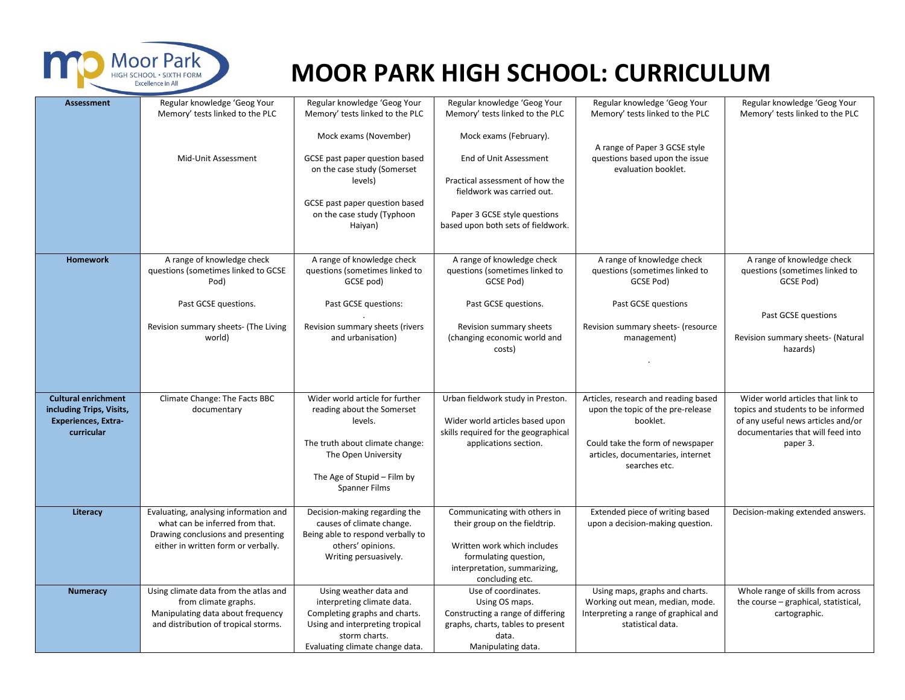

| <b>Assessment</b>                                                                                  | Regular knowledge 'Geog Your<br>Memory' tests linked to the PLC                                                                                       | Regular knowledge 'Geog Your<br>Memory' tests linked to the PLC                                                                                                                    | Regular knowledge 'Geog Your<br>Memory' tests linked to the PLC                                                                                                                         | Regular knowledge 'Geog Your<br>Memory' tests linked to the PLC                                                                                                                 | Regular knowledge 'Geog Your<br>Memory' tests linked to the PLC                                                                                                |
|----------------------------------------------------------------------------------------------------|-------------------------------------------------------------------------------------------------------------------------------------------------------|------------------------------------------------------------------------------------------------------------------------------------------------------------------------------------|-----------------------------------------------------------------------------------------------------------------------------------------------------------------------------------------|---------------------------------------------------------------------------------------------------------------------------------------------------------------------------------|----------------------------------------------------------------------------------------------------------------------------------------------------------------|
|                                                                                                    | Mid-Unit Assessment                                                                                                                                   | Mock exams (November)<br>GCSE past paper question based<br>on the case study (Somerset<br>levels)<br>GCSE past paper question based<br>on the case study (Typhoon<br>Haiyan)       | Mock exams (February).<br>End of Unit Assessment<br>Practical assessment of how the<br>fieldwork was carried out.<br>Paper 3 GCSE style questions<br>based upon both sets of fieldwork. | A range of Paper 3 GCSE style<br>questions based upon the issue<br>evaluation booklet.                                                                                          |                                                                                                                                                                |
| <b>Homework</b>                                                                                    | A range of knowledge check<br>questions (sometimes linked to GCSE<br>Pod)<br>Past GCSE questions.<br>Revision summary sheets- (The Living<br>world)   | A range of knowledge check<br>questions (sometimes linked to<br>GCSE pod)<br>Past GCSE questions:<br>Revision summary sheets (rivers<br>and urbanisation)                          | A range of knowledge check<br>questions (sometimes linked to<br>GCSE Pod)<br>Past GCSE questions.<br>Revision summary sheets<br>(changing economic world and<br>costs)                  | A range of knowledge check<br>questions (sometimes linked to<br>GCSE Pod)<br>Past GCSE questions<br>Revision summary sheets- (resource<br>management)                           | A range of knowledge check<br>questions (sometimes linked to<br>GCSE Pod)<br>Past GCSE questions<br>Revision summary sheets- (Natural<br>hazards)              |
| <b>Cultural enrichment</b><br>including Trips, Visits,<br><b>Experiences, Extra-</b><br>curricular | Climate Change: The Facts BBC<br>documentary                                                                                                          | Wider world article for further<br>reading about the Somerset<br>levels.<br>The truth about climate change:<br>The Open University<br>The Age of Stupid - Film by<br>Spanner Films | Urban fieldwork study in Preston.<br>Wider world articles based upon<br>skills required for the geographical<br>applications section.                                                   | Articles, research and reading based<br>upon the topic of the pre-release<br>booklet.<br>Could take the form of newspaper<br>articles, documentaries, internet<br>searches etc. | Wider world articles that link to<br>topics and students to be informed<br>of any useful news articles and/or<br>documentaries that will feed into<br>paper 3. |
| Literacy                                                                                           | Evaluating, analysing information and<br>what can be inferred from that.<br>Drawing conclusions and presenting<br>either in written form or verbally. | Decision-making regarding the<br>causes of climate change.<br>Being able to respond verbally to<br>others' opinions.<br>Writing persuasively.                                      | Communicating with others in<br>their group on the fieldtrip.<br>Written work which includes<br>formulating question,<br>interpretation, summarizing,<br>concluding etc.                | Extended piece of writing based<br>upon a decision-making question.                                                                                                             | Decision-making extended answers.                                                                                                                              |
| <b>Numeracy</b>                                                                                    | Using climate data from the atlas and<br>from climate graphs.<br>Manipulating data about frequency<br>and distribution of tropical storms.            | Using weather data and<br>interpreting climate data.<br>Completing graphs and charts.<br>Using and interpreting tropical<br>storm charts.<br>Evaluating climate change data.       | Use of coordinates.<br>Using OS maps.<br>Constructing a range of differing<br>graphs, charts, tables to present<br>data.<br>Manipulating data.                                          | Using maps, graphs and charts.<br>Working out mean, median, mode.<br>Interpreting a range of graphical and<br>statistical data.                                                 | Whole range of skills from across<br>the course – graphical, statistical,<br>cartographic.                                                                     |